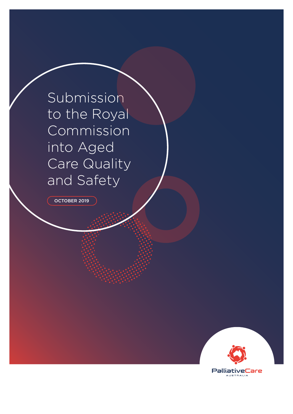Submission to the Royal Commission into Aged Care Quality and Safety

OCTOBER 2019

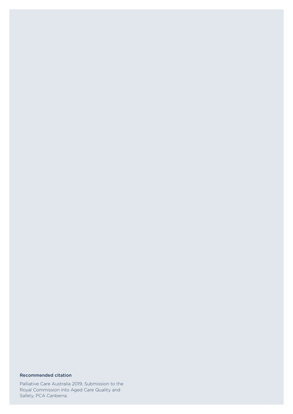## Recommended citation

Palliative Care Australia 2019, Submission to the Royal Commission into Aged Care Quality and Safety, PCA Canberra.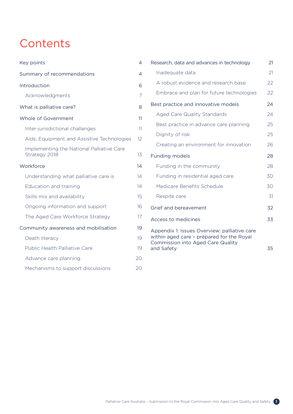# **Contents**

| Key points                                                 | 4              |
|------------------------------------------------------------|----------------|
| Summary of recommendations                                 | $\overline{4}$ |
| Introduction                                               | 6              |
| Acknowledgments                                            | 7              |
| What is palliative care?                                   | 8              |
| Whole of Government                                        | 11             |
| Inter-jurisdictional challenges                            | 11             |
| Aids, Equipment and Assistive Technologies                 | 12             |
| Implementing the National Palliative Care<br>Strategy 2018 | 13             |
| Workforce                                                  | 14             |
| Understanding what palliative care is                      | 14             |
| Education and training                                     | 14             |
| Skills mix and availability                                | 15             |
| Ongoing information and support                            | 16             |
| The Aged Care Workforce Strategy                           | 17             |
| Community awareness and mobilisation                       | 19             |
| Death literacy                                             | 19             |
| Public Health Palliative Care                              | 19             |
| Advance care planning                                      | 20             |
| Mechanisms to support discussions                          | 20             |
|                                                            |                |

| Research, data and advances in technology                                                                                                           | 21 |
|-----------------------------------------------------------------------------------------------------------------------------------------------------|----|
| Inadequate data                                                                                                                                     | 21 |
| A robust evidence and research base                                                                                                                 | 22 |
| Embrace and plan for future technologies                                                                                                            | 22 |
| Best practice and innovative models                                                                                                                 | 24 |
| <b>Aged Care Quality Standards</b>                                                                                                                  | 24 |
| Best practice in advance care planning                                                                                                              | 25 |
| Dignity of risk                                                                                                                                     | 25 |
| Creating an environment for innovation                                                                                                              | 26 |
| <b>Funding models</b>                                                                                                                               | 28 |
| Funding in the community                                                                                                                            | 28 |
| Funding in residential aged care                                                                                                                    | 30 |
| Medicare Benefits Schedule                                                                                                                          | 30 |
| Respite care                                                                                                                                        | 31 |
| Grief and bereavement                                                                                                                               | 32 |
| Access to medicines                                                                                                                                 | 33 |
| Appendix 1: Issues Overview: palliative care<br>within aged care - prepared for the Royal<br><b>Commission into Aged Care Quality</b><br>and Safety | 35 |
|                                                                                                                                                     |    |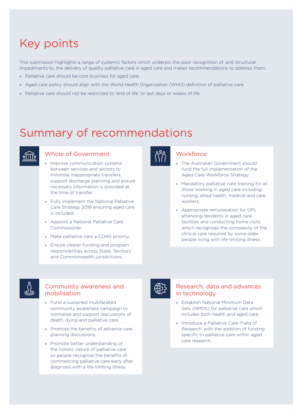# <span id="page-3-0"></span>Key points

This submission highlights a range of systemic factors which underpin the poor recognition of, and structural impediments to, the delivery of quality palliative care in aged care and makes recommendations to address them:

- » Palliative care should be core business for aged care.
- » Aged care policy should align with the World Health Organisation (WHO) definition of palliative care.
- » Palliative care should not be restricted to 'end of life' or last days or weeks of life.

# Summary of recommendations



# Whole of Government

- » Improve communication systems between services and sectors to minimise inappropriate transfers, support discharge planning and ensure necessary information is provided at the time of transfer.
- » Fully implement the National Palliative Care Strategy 2018 ensuring aged care is included.
- » Appoint a National Palliative Care Commissioner.
- » Make palliative care a COAG priority.
- » Ensure clearer funding and program responsibilities across State, Territory and Commonwealth jurisdictions.



# **Workforce**

- » The Australian Government should fund the full implementation of the Aged Care Workforce Strategy.
- » Mandatory palliative care training for all those working in aged care including nursing, allied health, medical and care workers.
- » Appropriate remuneration for GPs attending residents in aged care facilities and conducting home visits which recognises the complexity of the clinical care required by some older people living with life-limiting illness.

## Community awareness and mobilisation

- » Fund a sustained multifaceted community awareness campaign to normalise and support discussions of death, dying and palliative care.
- » Promote the benefits of advance care planning discussions.
- » Promote better understanding of the holistic nature of palliative care so people recognise the benefits of commencing palliative care early after diagnosis with a life-limiting illness.

## Research, data and advances in technology

- » Establish National Minimum Data Sets (NMDS) for palliative care which includes both health and aged care.
- » Introduce a Palliative Care 'Field of Research' with the addition of funding specific to palliative care within aged care research.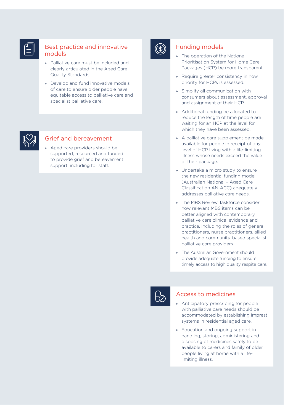# Best practice and innovative models

- » Palliative care must be included and clearly articulated in the Aged Care Quality Standards.
- » Develop and fund innovative models of care to ensure older people have equitable access to palliative care and specialist palliative care.



# Grief and bereavement

» Aged care providers should be supported, resourced and funded to provide grief and bereavement support, including for staff.



# Funding models

- » The operation of the National Prioritisation System for Home Care Packages (HCP) be more transparent.
- » Require greater consistency in how priority for HCPs is assessed.
- » Simplify all communication with consumers about assessment, approval and assignment of their HCP.
- » Additional funding be allocated to reduce the length of time people are waiting for an HCP at the level for which they have been assessed.
- » A palliative care supplement be made available for people in receipt of any level of HCP living with a life-limiting illness whose needs exceed the value of their package.
- » Undertake a micro study to ensure the new residential funding model (Australian National – Aged Care Classification AN-ACC) adequately addresses palliative care needs.
- » The MBS Review Taskforce consider how relevant MBS items can be better aligned with contemporary palliative care clinical evidence and practice, including the roles of general practitioners, nurse practitioners, allied health and community-based specialist palliative care providers.
- » The Australian Government should provide adequate funding to ensure timely access to high quality respite care.



## Access to medicines

- » Anticipatory prescribing for people with palliative care needs should be accommodated by establishing imprest systems in residential aged care.
- » Education and ongoing support in handling, storing, administering and disposing of medicines safely to be available to carers and family of older people living at home with a lifelimiting illness.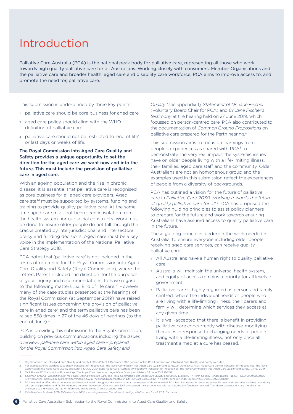# <span id="page-5-0"></span>Introduction

Palliative Care Australia (PCA) is the national peak body for palliative care, representing all those who work towards high quality palliative care for all Australians. Working closely with consumers, Member Organisations and the palliative care and broader health, aged care and disability care workforce, PCA aims to improve access to, and promote the need for, palliative care.

This submission is underpinned by three key points:

- » palliative care should be core business for aged care
- » aged care policy should align with the WHO definition of palliative care
- » palliative care should not be restricted to 'end of life' or last days or weeks of life.

## The Royal Commission into Aged Care Quality and Safety provides a unique opportunity to set the direction for the aged care we want now and into the future. This must include the provision of palliative care in aged care.

With an ageing population and the rise in chronic disease, it is essential that palliative care is recognised as core business for all aged care providers. Aged care staff must be supported by systems, funding and training to provide quality palliative care. At the same time aged care must not been seen in isolation from the health system nor our social constructs. Work must be done to ensure older people do not fall through the cracks created by interjurisdictional and intersectoral policy and funding decisions. Aged care must be a key voice in the implementation of the National Palliative Care Strategy 2018.

PCA notes that 'palliative care' is not included in the terms of reference for the Royal Commission into Aged Care Quality and Safety (Royal Commission), where the Letters Patent included the direction 'for the purposes of your inquiry and recommendations, to have regard to the following matters:…ix. End of life care..'1 However many of the case studies presented at the hearings of the Royal Commission (at September 2019) have raised significant issues concerning the provision of palliative care in aged care2 and the term palliative care has been raised 558 times in 27 of the 46 days of hearings (to the end of  $June$ ) $3$ 

PCA is providing this submission to the Royal Commission, building on previous communications including the *Issues overview: palliative care within aged care – prepared for the Royal Commission into Aged Care Safety and* 

*Quality* (see appendix 1)*, Statement of Dr Jane Fischer*  (Voluntary Board Chair for PCA) and *Dr Jane Fischer's testimony* at the hearing held on 27 June 2019, which focussed on person-centred care. PCA also contributed to the documentation of *Common Ground Propositions* on palliative care prepared for the Perth hearing.4

This submission aims to focus on learnings from people's experiences as shared with PCA<sup>5</sup> to demonstrate the very real impact the systemic issues have on older people living with a life-limiting illness, their families, aged care staff and the community. Older Australians are not an homogenous group and the examples used in this submission reflect the experiences of people from a diversity of backgrounds.

PCA has outlined a vision for the future of palliative care in *Palliative Care 2030 Working towards the future of quality palliative care for all*. 6 PCA has proposed the following guiding principles to assist policy planners to prepare for the future and work towards ensuring Australians have assured access to quality palliative care in the future.

These guiding principles underpin the work needed in Australia, to ensure everyone including older people receiving aged care services, can receive quality palliative care.

- » All Australians have a human right to quality palliative care.
- » Australia will maintain the universal health system, and equity of access remains a priority for all levels of government.
- » Palliative care is highly regarded as person and family centred, where the individual needs of people who are living with a life-limiting illness, their carers and family will determine which services they access at any given time.
- » It is well-accepted that there is benefit in providing palliative care concurrently with disease-modifying therapies in response to changing needs of people living with a life-limiting illness, not only once all treatment aimed at a cure has ceased.

<sup>1.</sup> Royal Commission into Aged Care Quality and Safety Letters Patent 6 December 2018 [viewed online Royal Commission into Aged Care Quality and Safety website]

For example: Alkira Gardens case study Transcript of Proceedings, The Royal Commission into Aged Care Quality and Safety, 27 June 2019; Assisi Aged Care Centre Transcript of Proceedings, The Royal Commission into Aged Care 3. Mr P Rozen SC, Transcript of Proceedings, The Royal Commission into Aged Care Quality and Safety, 24 June 2019, P-2197

Common Ground Propositions for the Perth Hearing: Palliative Care, The Royal Commission into Aged Care Quality and Safety, Exhibit 5 - 7 Perth General Tender Bundle Tab 68 - RCD 9999.0092.0001<br>[viewed online] https://agedc

PCA has de-identified the experiences and feedback used throughout this submission at the request of those involved. PCA held 8 consultation sessions across 5 states and territories and met individually ally and July 2019 attributed to individuals but rather referenced to the series of consultations held.

<sup>6.</sup> Palliative Care Australia 2018, *Palliative Care 2030 – working towards the future of quality palliative care for all*, PCA, Canberra.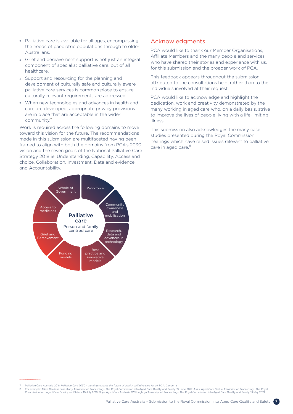- <span id="page-6-0"></span>» Palliative care is available for all ages, encompassing the needs of paediatric populations through to older Australians.
- » Grief and bereavement support is not just an integral component of specialist palliative care, but of all healthcare.
- » Support and resourcing for the planning and development of culturally safe and culturally aware palliative care services is common place to ensure culturally relevant requirements are addressed.
- » When new technologies and advances in health and care are developed, appropriate privacy provisions are in place that are acceptable in the wider community.7

Work is required across the following domains to move toward this vision for the future. The recommendations made in this submission are multifaceted having been framed to align with both the domains from PCA's 2030 vision and the seven goals of the National Palliative Care Strategy 2018 ie. Understanding, Capability, Access and choice, Collaboration, Investment, Data and evidence and Accountability.



PCA would like to thank our Member Organisations, Affiliate Members and the many people and services who have shared their stories and experience with us, for this submission and the broader work of PCA.

This feedback appears throughout the submission attributed to the consultations held, rather than to the individuals involved at their request.

PCA would like to acknowledge and highlight the dedication, work and creativity demonstrated by the many working in aged care who, on a daily basis, strive to improve the lives of people living with a life-limiting illness.

This submission also acknowledges the many case studies presented during the Royal Commission hearings which have raised issues relevant to palliative care in aged care.<sup>8</sup>



8. For example: Alkira Gardens case study Transcript of Proceedings, The Royal Commission into Aged Care Quality and Safety, 27 June 2019; Assisi Aged Care Centre Transcript of Proceedings, The Royal Commission into Aged C

<sup>7.</sup> Palliative Care Australia 2018, *Palliative Care 2030 – working towards the future of quality palliative care for all*, PCA, Canberra.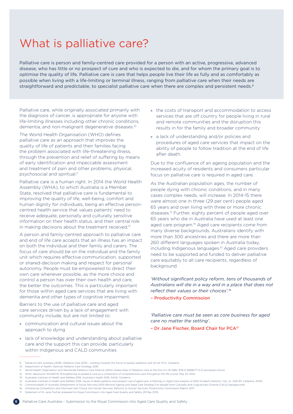# <span id="page-7-0"></span>What is palliative care?

Palliative care is person and family-centred care provided for a person with an active, progressive, advanced disease, who has little or no prospect of cure and who is expected to die, and for whom the primary goal is to optimise the quality of life. Palliative care is care that helps people live their life as fully and as comfortably as possible when living with a life-limiting or terminal illness, ranging from palliative care when their needs are straightforward and predictable, to specialist palliative care when there are complex and persistent needs.<sup>9</sup>

Palliative care, while originally associated primarily with the diagnosis of cancer, is appropriate for anyone with life-limiting illnesses including other chronic conditions, dementia, and non-malignant degenerative diseases.10

The World Health Organisation (WHO) defines palliative care as an approach that improves the quality of life of patients and their families facing the problem associated with life-threatening illness, through the prevention and relief of suffering by means of early identification and impeccable assessment and treatment of pain and other problems, physical, psychosocial and spiritual.<sup>11</sup>

Palliative care is a human right. In 2014 the World Health Assembly (WHA), to which Australia is a Member State, resolved that palliative care is fundamental to improving the quality of life, well-being, comfort and human dignity for individuals, being an effective personcentred health service that values patients' need to receive adequate, personally and culturally sensitive information on their health status, and their central role in making decisions about the treatment received.<sup>12</sup>

A person and family-centred approach to palliative care and end of life care accepts that an illness has an impact on both the individual and their family and carers. The focus of care should be on the individual and the family unit which requires effective communication, supported or shared-decision making and respect for personal autonomy. People must be empowered to direct their own care whenever possible, as the more choice and control a person has over their own health and care, the better the outcomes. This is particularly important for those within aged care services that are living with dementia and other types of cognitive impairment.

Barriers to the use of palliative care and aged care services driven by a lack of engagement with community include, but are not limited to:

- » communication and cultural issues about the approach to dying
- » lack of knowledge and understanding about palliative care and the support this can provide, particularly within Indigenous and CALD communities
- » the costs of transport and accommodation to access services that are off country for people living in rural and remote communities and the disruption this results in for the family and broader community
- » a lack of understanding and/or policies and procedures of aged care services that impact on the ability of people to follow tradition at the end of life after death.

Due to the confluence of an ageing population and the increased acuity of residents and consumers particular focus on palliative care is required in aged care.

As the Australian population ages, the number of people dying with chronic conditions, and in many cases complex needs, will increase. In 2014-15 there were almost one in three (29 per cent) people aged 65 years and over living with three or more chronic diseases.13 Further, eighty percent of people aged over 65 years who die in Australia have used at least one aged care program.<sup>14</sup> Aged care recipients come from many diverse backgrounds. Australians identify with more than 300 ancestries and there are more than 260 different languages spoken in Australia today, including Indigenous languages.15 Aged care providers need to be supported and funded to deliver palliative care equitably to all care recipients, regardless of background.

*'Without significant policy reform, tens of thousands of Australians will die in a way and in a place that does not reflect their values or their choices'.<sup>16</sup>*

– Productivity Commission

*'Palliative care must be seen as core business for aged care no matter the setting'.*

– Dr Jane Fischer, Board Chair for PCA17

11. World Health Organisation and Worldwide Palliative Care Alliance (2014) *Global Atlas of Palliative Care at the End of Life* ISBN: 978-0-9928277-0-0 [accessed online].

- 15. Commonwealth of Australia (Department of Social Services),2015 National Ageing and Aged Care Strategy For people from Culturally and Linguistically Diverse (CALD) backgrounds
- 16. Introducing Competition and Informed User Choice into Human Services: Reforms to Human Services, Productivity Commission Report 2017

<sup>9.</sup> Palliative Care Australia (2018), *Palliative Care 2030 – working towards the future of quality palliative care for all*, PCA, Canberra.

<sup>10.</sup> Department of Health, *National Palliative Care Strategy 2018*

<sup>12.</sup> WHA, Resolution WHA67.19, *Strengthening of palliative care as a component of comprehensive care throughout the life course*, May 24, 2014.

<sup>13.</sup> Australian Institute of Health and Welfare 2016, *Australia's health 2016*, AIHW: Canberra

<sup>14.</sup> Australian Institute of Health and Welfare 2018. *Cause of death patterns and people's use of aged care: A Pathway in Aged Care analysis of 2012–14 death statistics*. Cat. no. AGE 83. Canberra: AIHW

<sup>17.</sup> Statement of Dr Jane Fischer, prepared for Royal Commission into Aged Care Quality and Safety, 29 May 2019.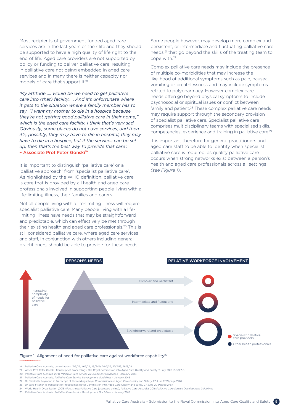Most recipients of government funded aged care services are in the last years of their life and they should be supported to have a high quality of life right to the end of life. Aged care providers are not supported by policy or funding to deliver palliative care, resulting in palliative care not being embedded in aged care services and in many there is neither capacity nor models of care that support it.<sup>18</sup>

*'My attitude …. would be we need to get palliative care into (that) facility….. And it's unfortunate where it gets to the situation where a family member has to say, "I want my mother to die in a hospice because they're not getting good palliative care in their home," which is the aged care facility. I think that's very sad. Obviously, some places do not have services, and then it's, possibly, they may have to die in hospital, they may have to die in a hospice, but if the services can be set up, then that's the best way to provide that care'.* - Associate Prof Peter Gonski<sup>19</sup>

It is important to distinguish 'palliative care' or a 'palliative approach' from 'specialist palliative care'. As highlighted by the WHO definition, palliative care is care that is provided by all health and aged care professionals involved in supporting people living with a life-limiting illness, their families and carers.

Not all people living with a life-limiting illness will require specialist palliative care. Many people living with a lifelimiting illness have needs that may be straightforward and predictable, which can effectively be met through their existing health and aged care professionals.<sup>20</sup> This is still considered palliative care, where aged care services and staff, in conjunction with others including general practitioners, should be able to provide for these needs.

Some people however, may develop more complex and persistent, or intermediate and fluctuating palliative care needs,21 that go beyond the skills of the treating team to cope with.22

Complex palliative care needs may include the presence of multiple co-morbidities that may increase the likelihood of additional symptoms such as pain, nausea, vomiting or breathlessness and may include symptoms related to polypharmacy. However complex care needs often go beyond physical symptoms to include psychosocial or spiritual issues or conflict between family and patient.<sup>23</sup> These complex palliative care needs may require support through the secondary provision of specialist palliative care. Specialist palliative care comprises multidisciplinary teams with specialised skills, competencies, experience and training in palliative care.24

It is important therefore for general practitioners and aged care staff to be able to identify when specialist palliative care is required, as quality palliative care occurs when strong networks exist between a person's health and aged care professionals across all settings *(see Figure 1)*.



#### Figure 1: Alignment of need for palliative care against workforce capability<sup>25</sup>

- 18. Palliative Care Australia, consultations 13/3/19, 19/3/19, 25/3/19, 26/3/19, 27/3/19, 28/3/19.
- 19. Assoc Prof Peter Gonski, Transcript of Proceedings, The Royal Commission into Aged Care Quality and Safety, 11 July 2019, P-3227-8
- 20. Palliative Care Australia 2018, *Palliative Care Service Development Guidelines*  January 2018
- 21. Palliative Care Australia, *Palliative Care Service Development Guidelines* January 2018 22. Dr Elizabeth Reymond in Transcript of Proceedings Royal Commission into Aged Care Quality and Safety, 27 June 2019 page 2764
- 23. Dr Jane Fischer in Transcript of Proceedings Royal Commission into Aged Care Quality and safety 27 June 2019 page 2764
- 24. World Health Organisation (2018) Fact sheet: Palliative Care [accessed online], Palliative Care Australia, 2018 *Palliative Care Service Development Guidelines*
- 25. Palliative Care Australia, *Palliative Care Service Development Guidelines* January 2018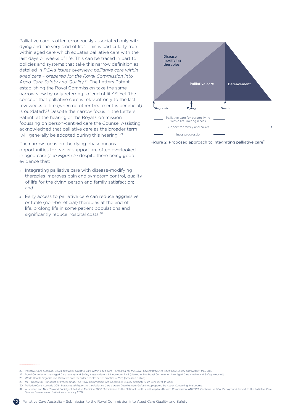Palliative care is often erroneously associated only with dying and the very 'end of life'. This is particularly true within aged care which equates palliative care with the last days or weeks of life. This can be traced in part to policies and systems that take this narrow definition as detailed in *PCA's Issues overview: palliative care within aged care – prepared for the Royal Commission into Aged Care Safety and Quality*. 26 The Letters Patent establishing the Royal Commission take the same narrow view by only referring to 'end of life'.<sup>27</sup> Yet 'the concept that palliative care is relevant only to the last few weeks of life (when no other treatment is beneficial) is outdated'.28 Despite the narrow focus in the Letters Patent, at the hearing of the Royal Commission focussing on person-centred care the Counsel Assisting acknowledged that palliative care as the broader term 'will generally be adopted during this hearing'.<sup>29</sup>

The narrow focus on the dying phase means opportunities for earlier support are often overlooked in aged care *(see Figure 2)* despite there being good evidence that:

- » Integrating palliative care with disease-modifying therapies improves pain and symptom control, quality of life for the dying person and family satisfaction; and
- » Early access to palliative care can reduce aggressive or futile (non-beneficial) therapies at the end of life, prolong life in some patient populations and significantly reduce hospital costs.<sup>30</sup>



Figure 2: Proposed approach to integrating palliative care<sup>31</sup>

- 26. Palliative Care Australia, *Issues overview: palliative care within aged care prepared for the Royal Commission into Aged Care Safety and Quality,* May 2019
- 27. Royal Commission into Aged Care Quality and Safety *Letters Patent* 6 December 2018 [viewed online Royal Commission into Aged Care Quality and Safety website]
- 28. World Health Organisation, Palliative care for older people: better practices (2011) [accessed online]
- 29. Mr P Rozen SC, Transcript of Proceedings, The Royal Commission into Aged Care Quality and Safety, 27 June 2019, P-2208
- 30. Palliative Care Australia 2018, *Background Report to the Palliative Care Service Development Guidelines*, prepared by Aspex Consulting, Melbourne.

<sup>31.</sup> Australian and New Zealand Society of Palliative Medicine 2008, Submission to the National Health and Hospitals Reform Commission, ANZSPM: Canberra. In PCA, Background Report to the Palliative Care<br>Service Development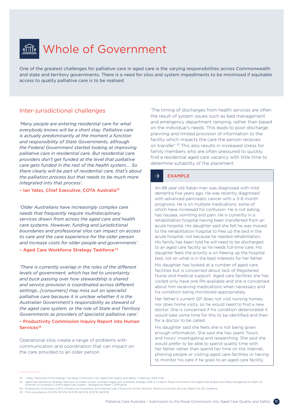# <span id="page-10-0"></span>**fill Whole of Government**

One of the greatest challenges for palliative care in aged care is the varying responsibilities across Commonwealth and state and territory governments. There is a need for silos and system impediments to be minimised if equitable access to quality palliative care is to be realised.

# Inter-jurisdictional challenges

*'Many people are entering residential care for what everybody knows will be a short stay. Palliative care is actually predominantly at the moment a function and responsibility of State Governments, although the Federal Government started looking at improving palliative care in residential care. But residential care providers don't get funded at the level that palliative care gets funded in the rest of the health system…. So there clearly will be part of residential care, that's about the palliation process but that needs to be much more integrated into that process'.*

#### – Ian Yates, Chief Executive, COTA Australia32

*'Older Australians have increasingly complex care needs that frequently require multidisciplinary services drawn from across the aged care and health care systems. However, funding and jurisdictional boundaries and professional silos can impact on access to care and the care experience for the older person and increase costs for older people and governments'.*

### - Aged Care Workforce Strategy Taskforce<sup>33</sup>

*'There is currently overlap in the roles of the different levels of government, which has led to uncertainty and buck passing over how stewardship is shared and service provision is coordinated across different settings…[consumers] may miss out on specialist palliative care because it is unclear whether it is the Australian Government's responsibility as steward of the aged care system, or the role of State and Territory Governments as providers of specialist palliative care'.*

#### – Productivity Commission Inquiry Report into Human Services<sup>34</sup>

Operational silos create a range of problems with communication and coordination that can impact on the care provided to an older person.

'The timing of discharges from health services are often the result of system issues such as bed management and emergency department ramping, rather than based on the individual's needs. This leads to poor discharge planning and limited provision of information to the facility which impacts the care the person receives on transfer'.35 This also results in increased stress for family members who are often pressured to quickly find a residential aged care vacancy with little time to determine suitability of the placement.

#### EXAMPLE  $\rightarrow$

An 88 year old Italian man was diagnosed with mild dementia five years ago. He was recently diagnosed with advanced pancreatic cancer with a 3–6 month prognosis. He is on multiple medications, some of which have increased his confusion. He is not eating, has nausea, vomiting and pain. He is currently in a rehabilitation hospital having been transferred from an acute hospital. His daughter said she felt he was moved to the rehabilitation hospital to free up the bed in the acute hospital, not because he needed rehabilitation. His family has been told he will need to be discharged to an aged care facility as he needs full-time care. His daughter feels the priority is on freeing up the hospital bed, not on what is in the best interests for her father.

His daughter has looked at a number of aged care facilities but is concerned about lack of Registered Nurse and medical support. Aged care facilities she has visited only have one RN available and she is concerned about him receiving medications when necessary and his condition being monitored appropriately.

Her father's current GP does not visit nursing homes, nor does home visits, so he would need to find a new doctor. She is concerned if his condition deteriorated it would take some time for this to be identified and then for a doctor to be called.

His daughter said she feels she is not being given enough information. She said she has spent 'hours and hours' investigating and researching. She said she would prefer to be able to spend quality time with her father rather than spend her time on the internet, phoning people or visiting aged care facilities or having to monitor his care if he goes to an aged care facility.

34. Productivity Commission (2017) *Introducing Competition and Informed User Choice into Human Services: Reforms to Human Services,* Report No. 85, Canberra.

<sup>32.</sup> I Yates, Transcript of Proceedings, The Royal Commission into Aged Care Quality and Safety, 11 February 2019, P-82.

orkforce strategy, 2018, p 2 cited in Royal Commission into Aged Care Quality and Safety Navigating the Maze: An 33. Aged Care Workforce Strategy Taskforce, A matter of care: Australia's aged care wo<br>Overview of Australia's Current Aged Care System - Background Paper 1, 2019 pg 16

<sup>35.</sup> PCA consultations 13/3/19, 19/3/19, 25/3/19, 26/3/19, 27/3/19, 28/3/19.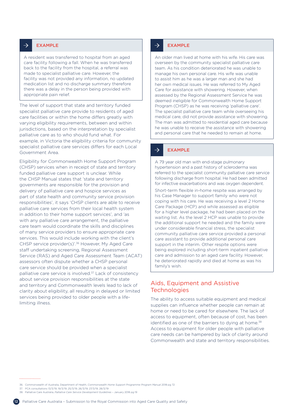#### <span id="page-11-0"></span> $\rightarrow$ EXAMPLE

A resident was transferred to hospital from an aged care facility following a fall. When he was transferred back to the facility from the hospital, a referral was made to specialist palliative care. However, the facility was not provided any information, no updated medication list and no discharge summary therefore there was a delay in the person being provided with appropriate pain relief.

The level of support that state and territory funded specialist palliative care provide to residents of aged care facilities or within the home differs greatly with varying eligibility requirements, between and within jurisdictions, based on the interpretation by specialist palliative care as to who should fund what. For example, in Victoria the eligibility criteria for community specialist palliative care services differs for each Local Government Area.

Eligibility for Commonwealth Home Support Program (CHSP) services when in receipt of state and territory funded palliative care support is unclear. While the CHSP Manual states that 'state and territory governments are responsible for the provision and delivery of palliative care and hospice services as part of state health and community service provision responsibilities', it says 'CHSP clients are able to receive palliative care services from their local health system in addition to their home support services', and 'as with any palliative care arrangement, the palliative care team would coordinate the skills and disciplines of many service providers to ensure appropriate care services. This would include working with the client's CHSP service provider(s)'.36 However, My Aged Care staff undertaking screening, Regional Assessment Service (RAS) and Aged Care Assessment Team (ACAT) assessors often dispute whether a CHSP personal care service should be provided when a specialist palliative care service is involved.<sup>37</sup> Lack of consistency about service provision responsibilities at the state and territory and Commonwealth levels lead to lack of clarity about eligibility, all resulting in delayed or limited services being provided to older people with a lifelimiting illness.

#### $\rightarrow$ EXAMPLE

An older man lived at home with his wife. His care was overseen by the community specialist palliative care team. As his condition deteriorated he was unable to manage his own personal care. His wife was unable to assist him as he was a larger man and she had her own medical issues. He was referred to My Aged Care for assistance with showering. However, when assessed by the Regional Assessment Service he was deemed ineligible for Commonwealth Home Support Program (CHSP) as he was receiving 'palliative care'. The specialist palliative care team while overseeing his medical care, did not provide assistance with showering. The man was admitted to residential aged care because he was unable to receive the assistance with showering and personal care that he needed to remain at home.

#### $\rightarrow$ EXAMPLE

A 79 year old man with end-stage pulmonary hypertension and a past history of scleroderma was referred to the specialist community palliative care service following discharge from hospital. He had been admitted for infective exacerbations and was oxygen dependent.

Short-term flexible in-home respite was arranged by his Case Manager to support family who were not coping with his care. He was receiving a level 2 Home Care Package (HCP) and while assessed as eligible for a higher level package, he had been placed on the waiting list. As the level 2 HCP was unable to provide the additional support he needed and the family were under considerable financial stress, the specialist community palliative care service provided a personal care assistant to provide additional personal care support in the interim. Other respite options were being explored including short-term inpatient palliative care and admission to an aged care facility. However, he deteriorated rapidly and died at home as was his family's wish.

## Aids, Equipment and Assistive **Technologies**

The ability to access suitable equipment and medical supplies can influence whether people can remain at home or need to be cared for elsewhere. The lack of access to equipment, often because of cost, has been identified as one of the barriers to dying at home.<sup>38</sup> Access to equipment for older people with palliative care needs can be hampered by lack of clarity around Commonwealth and state and territory responsibilities.

36. Commonwealth of Australia, Department of Health, *Commonwealth Home Support Programme Program Manua*l 2018 pg 72

- 37. PCA consultations 13/3/19, 19/3/19, 25/3/19, 26/3/19, 27/3/19, 28/3/19
- 38. Palliative Care Australia, *Palliative Care Service Development Guidelines* January 2018 pg 19



....................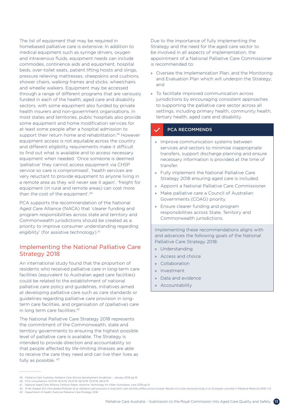<span id="page-12-0"></span>The list of equipment that may be required in homebased palliative care is extensive. In addition to medical equipment such as syringe drivers, oxygen and intravenous fluids, equipment needs can include commodes, continence aids and equipment, hospital beds, over-toilet seats, patient lifting hoists and slings, pressure relieving mattresses, sheepskins and cushions, shower chairs, walking frames and sticks, wheelchairs and wheelie walkers. Equipment may be accessed through a range of different programs that are variously funded in each of the health, aged care and disability sectors, with some equipment also funded by private health insurers and non-government organisations. In most states and territories, public hospitals also provide some equipment and home modification services for at least some people after a hospital admission to support their return home and rehabilitation.<sup>39</sup> However equipment access is not equitable across the country and different eligibility requirements make it difficult to find out what is available and to access necessary equipment when needed. 'Once someone is deemed 'palliative' they cannot access equipment via CHSP service so care is compromised', 'health services are very reluctant to provide equipment to anyone living in a remote area as they will never see it again', 'freight for equipment (in rural and remote areas) can cost more than the cost of the equipment'.40

PCA supports the recommendation of the National Aged Care Alliance (NACA) that 'clearer funding and program responsibilities across state and territory and Commonwealth jurisdictions should be created as a priority to improve consumer understanding regarding eligibility' (for assistive technology).<sup>41</sup>

## Implementing the National Palliative Care Strategy 2018

An international study found that the proportion of residents who received palliative care in long-term care facilities (equivalent to Australian aged care facilities) could be related to the establishment of national palliative care policy and guidelines, initiatives aimed at developing palliative care such as care standards or guidelines regarding palliative care provision in longterm care facilities, and organisation of (palliative) care in long term care facilities.<sup>42</sup>

The National Palliative Care Strategy 2018 represents the commitment of the Commonwealth, state and territory governments to ensuring the highest possible level of palliative care is available. The Strategy is intended to provide direction and accountability so that people affected by life-limiting illnesses are able to receive the care they need and can live their lives as fully as possible.  $43$ 

42 M ten Koppel B.D Onwuteaka-Philipsen et al. *Palliative care provision in long-term care facilities differs across Europe: Results of a cross-sectional study in six European counties in Palliative Medicine 2019 1-13* 43. Department of Health, National Palliative Care Strategy 2018

Due to the importance of fully implementing the Strategy and the need for the aged care sector to be involved in all aspects of implementation, the appointment of a National Palliative Care Commissioner is recommended to:

- » Oversee the Implementation Plan, and the Monitoring and Evaluation Plan which will underpin the Strategy; and
- » To facilitate improved communication across jurisdictions by encouraging consistent approaches to supporting the palliative care sector across all settings, including primary health, community health, tertiary health, aged care and disability.

### PCA RECOMMENDS

- » Improve communication systems between services and sectors to minimise inappropriate transfers, support discharge planning and ensure necessary information is provided at the time of transfer.
- » Fully implement the National Palliative Care Strategy 2018 ensuring aged care is included.
- » Appoint a National Palliative Care Commissioner.
- » Make palliative care a Council of Australian Governments (COAG) priority.
- » Ensure clearer funding and program responsibilities across State, Territory and Commonwealth jurisdictions.

Implementing these recommendations aligns with and advances the following goals of the National Palliative Care Strategy 2018:

- » Understanding
- » Access and choice
- » Collaboration
- » Investment
- » Data and evidence
- » Accountability

<sup>39.</sup> Palliative Care Australia, *Palliative Care Service Development Guidelines* – January 2018 pg 19

<sup>40.</sup> PCA consultations 13/3/19, 19/3/19, 25/3/19, 26/3/19, 27/3/19, 28/3/19

<sup>41.</sup> National Aged Care Alliance, Position Paper, *Assistive Technology for Older Australians* June 2018 pg 14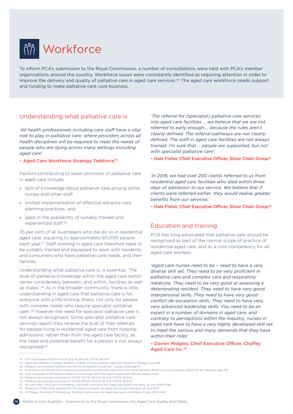<span id="page-13-0"></span>

To inform PCA's submission to the Royal Commission, a number of consultations were held with PCA's member organisations around the country. Workforce issues were consistently identified as requiring attention in order to improve the delivery and quality of palliative care in aged care services.44 The aged care workforce needs support and funding to make palliative care core business.

## Understanding what palliative care is

*'All health professionals including care staff have a vital role to play in palliative care, where providers across all health disciplines will be required to meet the needs of people who are dying across many settings including aged care'*

### - Aged Care Workforce Strategy Taskforce<sup>45</sup>

Factors contributing to lower provision of palliative care in aged care include:

- » lack of knowledge about palliative care among some nurses and other staff
- » limited implementation of effective advance care planning practices, and
- » gaps in the availability of suitably trained and experienced staff.46

35 per cent of all Australians who die do so in residential aged care, equating to approximately 60,000 people each year.47 Staff working in aged care therefore need to be suitably trained and equipped to work with residents and consumers who have palliative care needs, and their families.

Understanding what palliative care is, is essential. 'The level of palliative knowledge within the aged care sector varies considerably between, and within, facilities as well as states'.48 As in the broader community 'there is little understanding in aged care that palliative care is for everyone with a life-limiting illness, not only for people with complex needs who require specialist palliative care',49 however the need for specialist palliative care is not always recognised. Some specialist palliative care services report they receive the bulk of their referrals for people living in residential aged care from hospital admissions, rather than from the aged care facility, as the need and potential benefit for a person is not always recognised.50

*'The referral for (specialist) palliative care services into aged care facilities … we believe that we are not referred to early enough…. because the rules aren't clearly defined. The referral pathways are not clearly defined. The staff in aged care facilities are not always trained. I'm sure that … people are supported, but not with specialist palliative care'.*

- Dale Fisher, Chief Executive Officer, Silver Chain Group<sup>51</sup>

*'In 2018, we had over 200 clients referred to us from residential aged care facilities who died within three days of admission to our service. We believe that if clients were referred earlier, they would realise greater benefits from our services.'*

- Dale Fisher, Chief Executive Officer, Silver Chain Group<sup>52</sup>

## Education and training

PCA has long advocated that palliative care should be recognised as part of the normal scope of practice of residential aged care, and as a core competency for all aged care workers.

*'Aged care nurses need to be – need to have a very diverse skill set. They need to be very proficient in palliative care and complex care and respiratory medicine. They need to be very good at assessing a deteriorating resident. They need to have very good interpersonal skills. They need to have very good conflict de-escalation skills. They need to have very, very advanced leadership skills. You need to be an expert in a number of domains in aged care, and contrary to perceptions within the industry, nurses in aged care have to have a very highly developed skill set to meet the various and many demands that they have within their roles'*

### – Darren Midgley, Chief Executive Officer, Chaffey Aged Care Inc.<sup>53</sup>

44. PCA consultations 13/3/19, 19/3/19, 25/3/19, 26/3/19, 27/3/19, 28/3/19

- 45. Aged Care Workforce Strategy Taskforce, *A Matter of Care Australia's Aged Care Workforce Strategy* June 2018
- 46. Palliative Care Australia, *Palliative Care Service Development Guidelines* January 2018 page 14
- 47. Productivity Commission 2017, *Introducing Competition and Informed User Choice into Human Services: Reforms to Human Services, Report No. 85, Canberra, page 109*
- 48. Urbis, *Evaluation of the National Palliative Care Strategy 2010 Final Report*, September 2016 [Accessed online]
- 49. Palliative Care Australia, consultations 13/3/19, 19/3/19, 25/3/19, 26/3/19, 27/3/19, 28/3/19.
- 50. Palliative Care Australia, consultations 13/3/19, 19/3/19, 25/3/19, 26/3/19, 27/3/19, 28/3/19.
- 51. Ms Dale Fisher, Transcript of Proceedings, The Royal Commission into Aged Care Quality and Safety, 26 June 2019 P-2561
- 52. Statement of Dale Fisher, prepared for The Royal Commission into Aged Care Quality and Safety, 26 June 2019 53. Mr Midgley, Transcript of Proceedings, The Royal Commission into Aged Care Quality and Safety, 31 July 2019 P-4106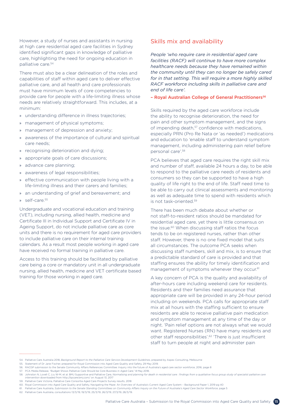<span id="page-14-0"></span>However, a study of nurses and assistants in nursing at high care residential aged care facilities in Sydney identified significant gaps in knowledge of palliative care, highlighting the need for ongoing education in palliative care.<sup>54</sup>

There must also be a clear delineation of the roles and capabilities of staff within aged care to deliver effective palliative care, and all health and care professionals must have minimum levels of core competencies to provide care for people with a life-limiting illness whose needs are relatively straightforward. This includes, at a minimum:

- » understanding difference in illness trajectories;
- » management of physical symptoms;
- » management of depression and anxiety;
- awareness of the importance of cultural and spiritual care needs;
- » recognising deterioration and dying;
- » appropriate goals of care discussions;
- » advance care planning;
- » awareness of legal responsibilities;
- » effective communication with people living with a life-limiting illness and their carers and families;
- » an understanding of grief and bereavement; and
- » self-care.55

Undergraduate and vocational education and training (VET), including nursing, allied health, medicine and Certificate III in Individual Support and Certificate IV in Ageing Support, do not include palliative care as core units and there is no requirement for aged care providers to include palliative care on their internal training calendars. As a result most people working in aged care have received no formal training in palliative care.

Access to this training should be facilitated by palliative care being a core or mandatory unit in all undergraduate nursing, allied health, medicine and VET certificate based training for those working in aged care.

## Skills mix and availability

*People 'who require care in residential aged care facilities (RACF) will continue to have more complex healthcare needs because they have remained within the community until they can no longer be safely cared for in that setting. This will require a more highly skilled RACF workforce including skills in palliative care and end of life care'.*

#### – Royal Australian College of General Practitioners56

Skills required by the aged care workforce include the ability to recognise deterioration, the need for pain and other symptom management, and the signs of impending death,<sup>57</sup> confidence with medications, especially PRN (Pro Re Nata or 'as needed') medications and education to 'enable staff to understand symptom management, including administering pain relief before personal care'.58

PCA believes that aged care requires the right skill mix and number of staff, available 24 hours a day, to be able to respond to the palliative care needs of residents and consumers so they can be supported to have a high quality of life right to the end of life. Staff need time to be able to carry out clinical assessments and monitoring as well as adequate time to spend with residents which is not task-oriented.59

There has been much debate about whether or not staff-to-resident ratios should be mandated for residential aged care, yet there is little consensus on the issue.<sup>60</sup> When discussing staff ratios the focus tends to be on registered nurses, rather than other staff. However, there is no one fixed model that suits all circumstances. The outcome PCA seeks when discussing staff numbers, skill and mix, is to ensure that a predictable standard of care is provided and that staffing ensures the ability for timely identification and management of symptoms whenever they occur.<sup>61</sup>

A key concern of PCA is the quality and availability of after-hours care including weekend care for residents. Residents and their families need assurance that appropriate care will be provided in any 24-hour period including on weekends. PCA calls for appropriate staff mix at all hours with the staffing sufficient to ensure residents are able to receive palliative pain medication and symptom management at any time of the day or night. 'Pain relief options are not always what we would want. Registered Nurses (RN) have many residents and other staff responsibilities'.62 'There is just insufficient staff to turn people at night and administer pain

62. Palliative Care Australia, consultations 13/3/19, 19/3/19, 25/3/19, 26/3/19, 27/3/19, 28/3/19.

<sup>54.</sup> Palliative Care Australia 2018, *Background Report to the Palliative Care Service Development Guidelines*, prepared by Aspex Consulting, Melbourne

<sup>55.</sup> Statement of Dr Jane Fischer, prepared for Royal Commission into Aged Care Quality and Safety, 29 May 2019.

<sup>56.</sup> RACGP submission to the Senate Community Affairs References Committee: Inquiry into the future of Australia's aged care sector workforce, 2016, page 8

<sup>57.</sup> PCA Media Release, "Budget Shows Palliative Care Should be Core Business in Aged Care," 8 May 2018.

<sup>58.</sup> Johnston N, Lovell C, Liu W-M, et al. BMJ Supportive and Palliative Care*, Normalising and planning for death in residential care : findings from a qualitative focus group study of specialist palliative care intervention* downloaded from<http://spcare.bmj.com/> on August 13, 2017

<sup>59.</sup> Palliative Care Victoria, Palliative Care Consortia Aged Care Projects Survey results, 2018

<sup>60.</sup> Royal Commission into Aged Care Quality and Safety, Navigating the Maze: An Overview of Australia's Current Aged Care System – Background Paper 1, 2019 pg 40

<sup>61.</sup> Palliative Care Australia, *Submission to the Senate Standing Committees on Community Affairs Inquiry on the Future of Australia's Aged Care Sector Workforce*, page 5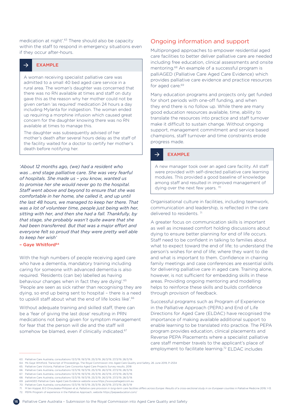<span id="page-15-0"></span>medication at night'.<sup>63</sup> There should also be capacity within the staff to respond in emergency situations even if they occur after-hours.

#### EXAMPLE  $\rightarrow$

A woman receiving specialist palliative care was admitted to a small 40 bed aged care service in a rural area. The woman's daughter was concerned that there was no RN available at times and staff on duty gave this as the reason why her mother could not be given certain 'as required' medication 24 hours a day including Mylanta for indigestion. The woman ended up requiring a morphine infusion which caused great concern for the daughter knowing there was no RN available at times to manage this.

The daughter was subsequently advised of her mother's death after several hours delay as the staff of the facility waited for a doctor to certify her mother's death before notifying her.

*'About 12 months ago, (we) had a resident who was …end stage palliative care. She was very fearful of hospitals. She made us – you know, wanted us to promise her she would never go to the hospital. Staff went above and beyond to ensure that she was comfortable in her home, she called it, and up until the last 48 hours, we managed to keep her there. That was a lot of volunteer time, people just being with her, sitting with her, and then she had a fall. Thankfully, by that stage, she probably wasn't quite aware that she had been transferred. But that was a major effort and everyone felt so proud that they were pretty well able to keep her wish'*

### - Gave Whitford<sup>64</sup>

With the high numbers of people receiving aged care who have a dementia, mandatory training including caring for someone with advanced dementia is also required. 'Residents (can be) labelled as having behaviour changes when in fact they are dying'.<sup>65</sup> 'People are seen as sick rather than recognising they are dying, so end up being sent to hospital – there is a need to upskill staff about what the end of life looks like'.<sup>66</sup>

Without adequate training and skilled staff, there can be a 'fear of giving the last dose' resulting in PRN medications not being given for symptom management for fear that the person will die and the staff will somehow be blamed, even if clinically indicated.<sup>67</sup>

# Ongoing information and support

Multipronged approaches to empower residential aged care facilities to better deliver palliative care are needed including free education, clinical assessments and onsite mentoring.68 An example of a successful program is palliAGED (Palliative Care Aged Care Evidence) which provides palliative care evidence and practice resources for aged care.<sup>69</sup>

Many education programs and projects only get funded for short periods with one-off funding, and when they end there is no follow up. While there are many good education resources available, time, ability to translate the resources into practice and staff turnover make it difficult to sustain change. Without ongoing support, management commitment and service based champions, staff turnover and time constraints erode progress made.

#### EXAMPLE  $\rightarrow$

A new manager took over an aged care facility. All staff were provided with self-directed palliative care learning modules. This provided a good baseline of knowledge among staff and resulted in improved management of dying over the next few years.<sup>70</sup>

Organisational culture in facilities, including teamwork, communication and leadership, is reflected in the care delivered to residents.<sup>71</sup>

A greater focus on communication skills is important as well as increased comfort holding discussions about dying to ensure better planning for end of life occurs. Staff need to be confident in talking to families about what to expect toward the end of life; to understand the person's wishes for end of life; where they want to die and what is important to them. Confidence in chairing family meetings and case conferences are essential skills for delivering palliative care in aged care. Training alone, however, is not sufficient for embedding skills in these areas. Providing ongoing mentoring and modelling helps to reinforce these skills and builds confidence through provision of feedback.

Successful programs such as Program of Experience in the Palliative Approach (PEPA) and End of Life Directions for Aged Care (ELDAC) have recognised the importance of making available additional support to enable learning to be translated into practice. The PEPA program provides education, clinical placements and Reverse PEPA Placements where a specialist palliative care staff member travels to the applicant's place of employment to facilitate learning.<sup>72</sup> ELDAC includes

68. Palliative Care Australia, consultations 13/3/19, 19/3/19, 25/3/19, 26/3/19, 27/3/19, 28/3/19. 69. palliAGED Palliative Care Aged Care Evidence website www.https://www.palliaged.com.au

- 71 M ten Konnel B.D. Onwuteaka-Philipsen et al *Palliative care provision in long-term care facilities differs across Europe: Results of a cross-sectional study in six European counties in Palliative Medicine 2019 1-13*
- 72. PEPA Program of experience in the Palliative Approach, website <https://pepaeducation.com/>



<sup>63.</sup> Palliative Care Australia, consultations 13/3/19, 19/3/19, 25/3/19, 26/3/19, 27/3/19, 28/3/19.

<sup>64.</sup> Ms Gaye Whitford, Transcript of Proceedings, The Royal Commission into Aged Care Quality and Safety, 26 June 2019, P-2534

<sup>65.</sup> Palliative Care Victoria, Palliative Care Consortia Aged Care Projects Survey results, 2018

<sup>66.</sup> Palliative Care Australia, consultations 13/3/19, 19/3/19, 25/3/19, 26/3/19, 27/3/19, 28/3/19.

<sup>67.</sup> Palliative Care Australia, consultations 13/3/19, 19/3/19, 25/3/19, 26/3/19, 27/3/19, 28/3/19.

<sup>70.</sup> Palliative Care Australia, consultations 13/3/19, 19/3/19, 25/3/19, 26/3/19, 27/3/19, 28/3/19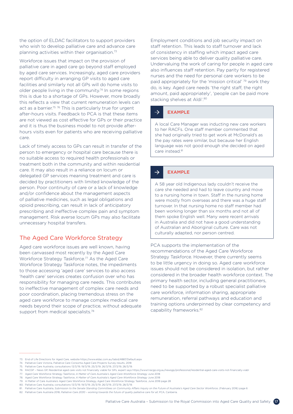<span id="page-16-0"></span>the option of ELDAC facilitators to support providers who wish to develop palliative care and advance care planning activities within their organisation.73

Workforce issues that impact on the provision of palliative care in aged care go beyond staff employed by aged care services. Increasingly, aged care providers report difficulty in arranging GP visits to aged care facilities and similarly not all GPs will do home visits to older people living in the community.74 In some regions this is due to a shortage of GPs. However, more broadly this reflects a view that current remuneration levels can act as a barrier.<sup>75</sup> <sup>76</sup> This is particularly true for urgent after-hours visits. Feedback to PCA is that these items are not viewed as cost effective for GPs or their practice and it is thus the business model to not provide afterhours visits even for patients who are receiving palliative care.

Lack of timely access to GPs can result in transfer of the person to emergency or hospital care because there is no suitable access to required health professionals or treatment both in the community and within residential care. It may also result in a reliance on locum or delegated GP services meaning treatment and care is decided by practitioners with limited knowledge of the person. Poor continuity of care or a lack of knowledge and/or confidence about the management aspects of palliative medicines, such as legal obligations and opioid prescribing, can result in lack of anticipatory prescribing and ineffective complex pain and symptom management. Risk averse locum GPs may also facilitate unnecessary hospital transfers.

## The Aged Care Workforce Strategy

Aged care workforce issues are well known, having been canvassed most recently by the Aged Care Workforce Strategy Taskforce.77 As the Aged Care Workforce Strategy Taskforce notes, the impediments to those accessing 'aged care' services to also access 'health care' services creates confusion over who has responsibility for managing care needs. This contributes to ineffective management of complex care needs and poor coordination, placing tremendous stress on the aged care workforce to manage complex medical care needs beyond their scope of practice, without adequate support from medical specialists.<sup>78</sup>

Employment conditions and job security impact on staff retention. This leads to staff turnover and lack of consistency in staffing which impact aged care services being able to deliver quality palliative care. Undervaluing the work of caring for people in aged care also influences staff retention. Pay parity for registered nurses and the need for personal care workers to be paid appropriately for the 'mission critical' 79 work they do, is key. Aged care needs 'the right staff, the right amount, paid appropriately', 'people can be paid more stacking shelves at Aldi'.<sup>80</sup>

#### $\rightarrow$ EXAMPLE

A local Care Manager was inducting new care workers to her RACFs. One staff member commented that she had originally tried to get work at McDonald's as the pay rates were similar, but because her English language was not good enough she decided on aged care instead.<sup>81</sup>

#### $\rightarrow$ EXAMPLE

A 58 year old Indigenous lady couldn't receive the care she needed and had to leave country and move to a nursing home in town. Staff in the nursing home were mostly from overseas and there was a huge staff turnover. In that nursing home no staff member had been working longer than six months and not all of them spoke English well. Many were recent arrivals in Australia and did not have a good understanding of Australian and Aboriginal culture. Care was not culturally adapted, nor person centred.

PCA supports the implementation of the recommendations of the Aged Care Workforce Strategy Taskforce. However, there currently seems to be little urgency in doing so. Aged care workforce issues should not be considered in isolation, but rather considered in the broader health workforce context. The primary health sector, including general practitioners, need to be supported by a robust specialist palliative care workforce, information sharing, appropriate remuneration, referral pathways and education and training options underpinned by clear competency and capability frameworks.82

- 81. Palliative Care Australia, *Submission to the Senate Standing Committees on Community Affairs Inquiry on the Future of Australia's Aged Care Sector Workforce*, (February 2016) page 6
- 82. Palliative Care Australia 2018, *Palliative Care 2030 working towards the future of quality palliative care for all*, PCA, Canberra.

<sup>73.</sup> End of Life Directions for Aged Care, website<https://www.eldac.com.au/tabid/4887/Default.aspx>

<sup>74.</sup> Palliative Care Victoria, Palliative Care Consortia Aged Care Projects Survey results, 2018

<sup>75.</sup> Palliative Care Australia, consultations 13/3/19, 19/3/19, 25/3/19, 26/3/19, 27/3/19, 28/3/19.

<sup>76.</sup> RACGP – News GP, Residential aged care visits not financially viable for GPs, expert says<https://www1.racgp.org.au/newsgp/professional/residential-aged-care-visits-not-financially-viabl>

<sup>77.</sup> Aged Care Workforce Strategy Taskforce, *A Matter of Care Australia's Aged Care Workforce Strategy* June 2018

<sup>78.</sup> Aged Care Workforce Strategy Taskforce, *A Matter of Care Australia's Aged Care Workforce Strategy* June 2018

<sup>79.</sup> A Matter of Care Australia's Aged Care Workforce Strategy, Aged Care Workforce Strategy Taskforce, June 2018 page 28

<sup>80.</sup> Palliative Care Australia, consultations 13/3/19, 19/3/19, 25/3/19, 26/3/19, 27/3/19, 28/3/19.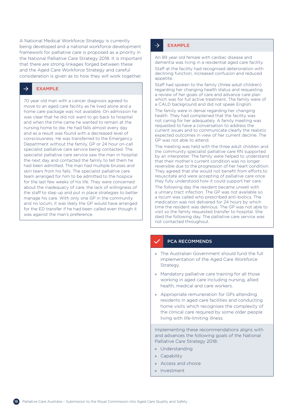A National Medical Workforce Strategy is currently being developed and a national workforce development framework for palliative care is proposed as a priority in the National Palliative Care Strategy 2018. It is important that there are strong linkages forged between these and the Aged Care Workforce Strategy and careful consideration is given as to how they will work together.

#### EXAMPLE  $\rightarrow$

70 year old man with a cancer diagnosis agreed to move to an aged care facility as he lived alone and a home care package was not available. On admission he was clear that he did not want to go back to hospital and when the time came he wanted to remain at the nursing home to die. He had falls almost every day and as a result was found with a decreased level of consciousness. He was transferred to the Emergency Department without the family, GP or 24 hour on-call specialist palliative care service being contacted. The specialist palliative care service saw the man in hospital the next day and contacted the family to tell them he had been admitted. The man had multiple bruises and skin tears from his falls. The specialist palliative care team arranged for him to be admitted to the hospice for the last few weeks of his life. They were concerned about the inadequacy of care, the lack of willingness of the staff to step up and put in place strategies to better manage his care. With only one GP in the community and no locum, it was likely the GP would have arranged for the ED transfer if he had been called even though it was against the man's preference.

#### $\rightarrow$ EXAMPLE

An 89 year old female with cardiac disease and dementia was living in a residential aged care facility. Staff at the facility had recognised deterioration with declining function, increased confusion and reduced appetite.

Staff had spoken to the family (three adult children) regarding her changing health status and requesting a review of her goals of care and advance care plan which was for full active treatment. The family were of a CALD background and did not speak English.

The family were in denial regarding her changing health. They had complained that the facility was not caring for her adequately. A family meeting was requested to have a conversation to address the current issues and to communicate clearly the realistic expected outcomes in view of her current decline. The GP was not able to attend.

The meeting was held with the three adult children and the community specialist palliative care RN supported by an interpreter. The family were helped to understand that their mother's current condition was no longer reversible due to the progression of her heart condition. They agreed that she would not benefit from efforts to resuscitate and were accepting of palliative care once they fully understood how it could support her care.

The following day the resident became unwell with a urinary tract infection. The GP was not available so a locum was called who prescribed anti-biotics. The medication was not delivered for 24 hours by which time the resident was delirious. The GP was not able to visit so the family requested transfer to hospital. She died the following day. The palliative care service was not contacted throughout.

### PCA RECOMMENDS

- » The Australian Government should fund the full implementation of the Aged Care Workforce Strategy.
- » Mandatory palliative care training for all those working in aged care including nursing, allied health, medical and care workers.
- » Appropriate remuneration for GPs attending residents in aged care facilities and conducting home visits which recognises the complexity of the clinical care required by some older people living with life-limiting illness.

Implementing these recommendations aligns with and advances the following goals of the National Palliative Care Strategy 2018:

- » Understanding
- » Capability
- » Access and choice
- » Investment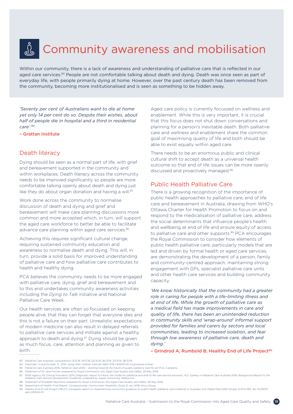# <span id="page-18-0"></span> $\int_{\tilde{c}} \tilde{\Gamma}_{\tilde{b}}$ Community awareness and mobilisation

Within our community, there is a lack of awareness and understanding of palliative care that is reflected in our aged care services.<sup>83</sup> People are not comfortable talking about death and dying. Death was once seen as part of everyday life, with people primarily dying at home. However, over the past century death has been removed from the community, becoming more institutionalised and is seen as something to be hidden away.

*'Seventy per cent of Australians want to die at home yet only 14 per cent do so. Despite their wishes, about half of people die in hospital and a third in residential care'.84*

– Grattan Institute

# Death literacy

Dying should be seen as a normal part of life, with grief and bereavement supported in the community and within workplaces. Death literacy across the community needs to be improved significantly so people are more comfortable talking openly about death and dying just like they do about organ donation and having a will.<sup>85</sup>

Work done across the community to normalise discussion of death and dying and grief and bereavement will make care planning discussions more common and more accepted which, in turn, will support the aged care workforce to better be able to facilitate advance care planning within aged care services.<sup>86</sup>

Achieving this requires significant cultural change, requiring sustained community education and awareness to normalise death and dying. This will, in turn, provide a solid basis for improved understanding of palliative care and how palliative care contributes to health and healthy dying.

PCA believes the community needs to be more engaged with palliative care, dying, grief and bereavement and to this end undertakes community awareness activities including the *Dying to Talk* initiative and National Palliative Care Week.

Our health services are often so focussed on keeping people alive, that they can forget that everyone dies and this is not a failure on their part. Unrealistic expectations of modern medicine can also result in delayed referrals to palliative care services and militate against a healthy approach to death and dying.<sup>87</sup> Dying should be given as much focus, care, attention and planning as given to birth.

Aged care policy is currently focussed on wellness and enablement. While this is very important, it is crucial that this focus does not shut down conversations and planning for a person's inevitable death. Both palliative care and wellness and enablement share the common goal of maximising quality of life and both should be able to exist equally within aged care.

There needs to be an enormous public and clinical cultural shift to accept death as a universal health outcome so that end of life issues can be more openly discussed and proactively managed.<sup>88</sup>

# Public Health Palliative Care

There is a growing recognition of the importance of public health approaches to palliative care, end of life care and bereavement in Australia, drawing from WHO's Ottawa Charter for Health Promotion to focus on and respond to the medicalisation of palliative care, address the social determinants that influence people's health and wellbeing at end of life and ensure equity of access to palliative care and other supports.<sup>89</sup> PCA encourages the Royal Commission to consider how elements of public health palliative care, particularly models that are led and driven by formal health or aged care services, are demonstrating the development of a person, family and community-centred approach, maintaining strong engagement with GPs, specialist palliative care units and other health care services and building community capacity.

*'We know historically that the community had a greater role in caring for people with a life-limiting illness and at end of life. While the growth of palliative care as a medical field has made improvements in care and quality of life, there has been an unintended reduction in community skills and 'wrap-around' informal support provided for families and carers by sectors and local communities, leading to increased isolation, and fear through low awareness of palliative care, death and dying.'* 

- Grindrod A, Rumbold B, Healthy End of Life Project<sup>90</sup>

<sup>83.</sup> Palliative Care Australia, consultations 13/3/19, 19/3/19, 25/3/19, 26/3/19, 27/3/19, 28/3/19.

<sup>84.</sup> Swerissen, H and Duckett, S., 2014, *Dying Well*. Grattan Institute ISBN: 978-1-925015-61-4 [accessed online]

<sup>85.</sup> Palliative Care Australia 2018, *Palliative Care 2030 – working towards the future of quality palliative care for all*, PCA, Canberra.

<sup>86.</sup> Statement of Dr Jane Fischer, prepared for Royal Commission into Aged Care Quality and Safety, 29 May 2019.

<sup>87.</sup> NSW Agency for Clinical Innovation 2014, Diagnostic report to inform the model for palliative and end-of-life care service provision, ACI: Sydney in Palliative Care Australia 2018, Background Report to the<br>Palliative C

<sup>88.</sup> Statement of Elizabeth Reymond, prepared for Royal Commission into Aged Care Quality and Safety 30 May 2019. 89. Department of Health, Final Report: *Compassionate Communities Feasibility Study,* 6 July 2018, Nous Group.

<sup>90.</sup> Healthy End of Life Project (HELP): a progress report on implementing community guidance on public health palliative care initiatives in Australia. Ann Palliat Med 2018;7(Suppl 2):S73-S83. doi: 10.21037/ apm.2018.04.01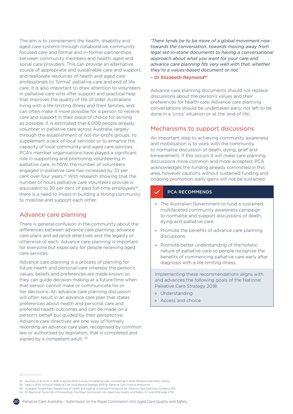<span id="page-19-0"></span>The aim is to complement the health, disability and aged care systems through collaborative, community focused care and formal and in-formal partnerships between community members and health, aged and social care providers. This can provide an alternative source of appropriate and sustainable care and support, and reallocate resources of health and aged care professionals to 'formal' palliative care and end of life care. It is also important to draw attention to volunteers in palliative care who offer support and practical help that improves the quality of life of older Australians living with a life-limiting illness and their families, and can often make it more possible for a person to receive care and support in their place of choice for as long as possible. It is estimated that 6,000 people already volunteer in palliative care across Australia, largely through the establishment of not-for-profit groups, to supplement a lack of local services or to enhance the capacity of local community and aged care services. PCA's member organisations have played a significant role in supporting and promoting volunteering in palliative care. In NSW, the number of volunteers engaged in palliative care has increased by 33 per cent over four years.91 With research showing that the number of hours palliative care volunteers provide is equivalent to 30 per cent of paid full-time employees<sup>92</sup>, there is a need to invest in building a strong community to mobilise and support each other.

# Advance care planning

There is general confusion in the community about the differences between advance care planning, advance care plans and advance directives and the legality or otherwise of each. Advance care planning is important for everyone but especially for people receiving aged care services.

Advance care planning is a process of planning for future health and personal care whereby the person's values, beliefs and preferences are made known so they can guide decision-making at a future time when that person cannot make or communicate his or her decisions. An advance care planning discussion will often result in an advance care plan that states preferences about health and personal care and preferred health outcomes and can be made on a person's behalf but guided by their perspective. Advance care directives are one way of formally recording an advance care plan, recognised by common law or authorised by legislation, that is completed and signed by a competent adult. 93

*'There tends be to be more of a global movement now towards the conversation, towards moving away from legal set-in-stone documents to having a conversational approach about what you want for your care and advance care planning fits very well with that, whether they're a values-based document or not.'*

#### – Dr Elizabeth Reymond94

Advance care planning documents should not replace discussions about the person's values and their preferences for health care. Advance care planning conversations should be undertaken early, not left to be done in a 'crisis' situation or at the 'end of life'.

# Mechanisms to support discussions

An important step to achieving community awareness and mobilisation is to work with the community to normalise discussion of death, dying, grief and bereavement. If this occurs it will make care planning discussions more common and more accepted. PCA acknowledges the funding already committed in this area, however cautions without sustained funding and ongoing promotion, early gains will not be sustained.

## PCA RECOMMENDS

- » The Australian Government to fund a sustained multifaceted community awareness campaign to normalise and support discussions of death, dying and palliative care.
- » Promote the benefits of advance care planning discussions.
- » Promote better understanding of the holistic nature of palliative care so people recognise the benefits of commencing palliative care early after diagnosis with a life-limiting illness.

Implementing these recommendations aligns with and advances the following goals of the National Palliative Care Strategy 2018:

- » Understanding
- » Access and choice



<sup>91.</sup> Bowman, K & Huntir A 2018, Snapshot 2018: a review of palliative care volunteering in NSW. Palliative Care NSW, Sydney.

<sup>92.</sup> Salau S, 2013, Victorian Palliative Care Volunteering Strategy 2013-16. Palliative Care Victoria, Melbourne

<sup>93.</sup> Australian Government Department of Health and Ageing, *A National Framework for Advance Care Directives,* Canberra 2011.

<sup>94.</sup> Dr Reymond, Transcript of Proceedings, The Royal Commission into Aged Care Quality and Safety, 27 June 2019 page 2774.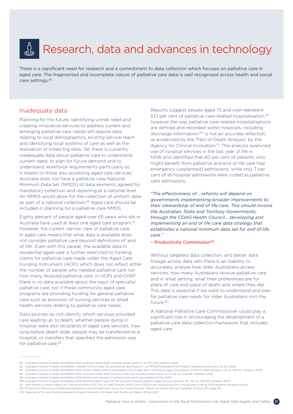# <span id="page-20-0"></span>رداني Research, data and advances in technology

There is a significant need for research and a commitment to data collection which focuses on palliative care in aged care. The fragmented and incomplete nature of palliative care data is well recognised across health and social care settings.95

## Inadequate data

Planning for the future, identifying unmet need and creating innovative services to address current and emerging palliative care needs will require data relating to local demographics, existing service reach and identifying local systems of care as well as the realisation of linked big data. Yet there is currently inadequate data about palliative care to understand current need, to plan for future demand and to understand workforce requirements particularly as it relates to those also accessing aged care services. Australia does not have a palliative care National Minimum Data Set (NMDS) of data elements agreed for mandatory collection and reporting at a national level. An NMDS would allow for the collection of uniform data as part of a national collection.<sup>96</sup> Aged care should be included in planning for a palliative care NMDS.

Eighty percent of people aged over 65 years who die in Australia have used at least one aged care program.<sup>97</sup> However, the current narrow view of palliative care in aged care means that what data is available does not consider palliative care beyond definitions of 'end of life'. Even with this caveat, the available data in residential aged care is further restricted to funding claims for palliative care made under the Aged Care Funding Instrument (ACFI) which does not reflect either the number of people who needed palliative care nor how many received palliative care. In HCPs and CHSP there is no data available about the input of specialist palliative care, nor if these community aged care programs are providing funding for general palliative care such as provision of nursing services or allied health services relating to palliative care needs.

Data sources do not identify which services provided care leading up to death, whether people dying in hospital were also recipients of aged care services, how long before death older people may be transferred to a hospital, or transfers that specified the admission was for palliative care.<sup>98</sup>

....................

Reports suggest people aged 75 and over represent 53.1 per cent of palliative care-related hospitalisation.<sup>99</sup> however the way palliative care-related hospitalisations are defined and recorded within hospitals, including discharge information,<sup>100</sup> is not an accurate reflection, as evidenced by the 'Fact of Death Analysis' by the Agency for Clinical Innovation.<sup>101</sup> This analysis examined use of hospital services in the last year of life in NSW and identified that 60 per cent of patients who might benefit from palliative and end of life care had emergency (unplanned) admissions, while only 7 per cent of all hospital admissions were coded as palliative care admissions.

*"The effectiveness of ...reforms will depend on governments implementing broader improvements to their stewardship of end of life care. This should involve the Australian, State and Territory Governments, through the COAG Health Council... developing and implementing an end of life care data strategy that establishes a national minimum data set for end of life care."*

#### - Productivity Commission<sup>102</sup>

Without targeted data collection, and better data linkage across data sets there is an inability to accurately analyse how older Australians access services, how many Australians receive palliative care and in what setting, what their preferences are for place of care and place of death and where they die. This data is essential if we want to understand and plan for palliative care needs for older Australians into the future.103

A National Palliative Care Commissioner could play a significant role in encouraging the development of a palliative care data collection framework that includes aged care.

101. NSW Ministry of Health Agency for Clinical Innovation 2015. *Fact of Death Analysis 2011/12 Use of NSW public hospital services in the last year of life by NSW residents* [accessed online]

103. Statement of Dr Jane Fischer, prepared for Royal Commission into Aged Care Quality and Safety, 29 May 2019.

<sup>95.</sup> Australian Institute of Health and Welfare 2018. *Australia's health 2018*. Australia's health series no. 16. AUS 221. Canberra: AIHW.

<sup>96.</sup> Australian Institute of Health and Welfare, National minimum data sets and data set specifications - on METeOR Metadata Online Registry website [viewed online 18 July 2019]

<sup>97.</sup> Australian Institute of Health and Welfare 2018. *Cause of death patterns and people's use of aged care: A Pathway in Aged Care analysis of 2012–14 death statistics.* Cat. no. AGE 83. Canberra: AIHW 98. Australian Institute of Health and Welfare 2016. Australia's Health 2016: 6.18 End-of-life care Australia's health series no. 15. Cat. no. AUS 199. Canberra: AIHW

<sup>99.</sup> Australian Institute of Health and Welfare 2019 Palliative care services in Australia [web report: last updated 22 May 2019]

<sup>100.</sup> Australian Institute of Health and Welfare 2019 *Admitted patient care 2017–18: Australian hospital statistics* Health services series no. 90. Cat. no. HSE 225. Canberra: AIHW.

<sup>102.</sup> Productivity Commission, Introducing Competition and Informed User Choice into Human Services: Reforms to Human Services, Canberra: October 2017, page 129.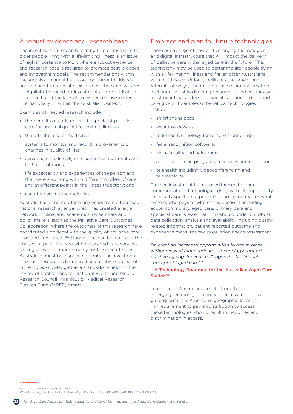# <span id="page-21-0"></span>A robust evidence and research base

The investment in research relating to palliative care for older people living with a life-limiting illness is an issue of high importance to PCA where a robust evidence and research base is required to promote best-practice and innovative models. The recommendations within the submission are either based on current evidence and the need to translate this into practice and systems, or highlight the need for investment and prioritisation of research and the lack of an evidence-base, either internationally or within the Australian context.

Examples of needed research include:

- » the benefits of early referral to specialist palliative care for non-malignant life-limiting illnesses;
- » the off-label use of medicines;
- » systems to monitor and record improvements or changes in quality of life;
- » avoidance of clinically non-beneficial treatments and ICU presentations;
- » life expectancy and experiences of the person and their carers working within different models of care and at different points in the illness trajectory; and
- » use of emerging technologies.

Australia has benefited for many years from a focussed national research agenda, which has created a large network of clinicians, academics, researchers and policy makers, such as the Palliative Care Outcomes Collaboration, where the outcomes of this research have contributed significantly to the quality of palliative care provided in Australia.104 However research specific to the context of palliative care within the aged care services setting, as well as more broadly for the care of older Australians must be a specific priority. The investment into such research is hampered as palliative care is not currently acknowledged as a stand-alone field for the review of applications for National Health and Medical Research Council (NHMRC) or Medical Research Futures Fund (MRFF) grants.

# Embrace and plan for future technologies

There are a range of new and emerging technologies and digital infrastructure that will impact the delivery of palliative care within aged care in the future. This technology may be used to better monitor people living with a life-limiting illness and frailer, older Australians with multiple conditions, facilitate assessment and referral pathways, streamline transfers and information exchange, assist in directing resources to where they are most beneficial and reduce social isolation and support care givers. Examples of beneficial technologies include:

- » smartphone apps;
- » wearable devices;
- » real-time technology for remote monitoring;
- » facial recognition software;
- » virtual reality and holograms;
- » accessible online programs, resources and education;
- » telehealth including videoconferencing and telemedicine.

Further, investment in improved information and communications technologies (ICT) with interoperability to link all aspects of a person's 'journey' no matter what system, who pays or where they access it, including acute, community, aged care, primary care and specialist care is essential. This should underpin robust data collection, analysis and availability, including quality related information, patient reported outcome and experience measures and population needs assessment.

*"In creating increased opportunities to age in place without loss of independence—technology supports positive ageing. It even challenges the traditional concept of 'aged care'."* 

### – A Technology Roadmap for the Australian Aged Care Sector<sup>105</sup>

To ensure all Australians benefit from these emerging technologies, equity of access must be a guiding principle. A person's geographic location nor requirement to pay a contribution to access these technologies, should result in inequities and discrimination in access.

104. National Palliative Care Strategy 2018 105. A Technology Roadmap for the Australian Aged Care Sector, June 2017, AGED CARE INDUSTRY IT COUNCIL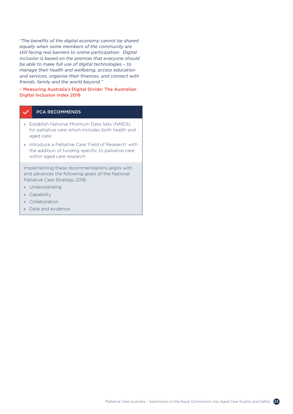*"The benefits of the digital economy cannot be shared equally when some members of the community are still facing real barriers to online participation. Digital inclusion is based on the premise that everyone should be able to make full use of digital technologies – to manage their health and wellbeing, access education and services, organise their finances, and connect with friends, family and the world beyond."* 

## – Measuring Australia's Digital Divide: The Australian Digital Inclusion Index 2018

## PCA RECOMMENDS

- » Establish National Minimum Data Sets (NMDS) for palliative care which includes both health and aged care.
- » Introduce a Palliative Care 'Field of Research' with the addition of funding specific to palliative care within aged care research.

Implementing these recommendations aligns with and advances the following goals of the National Palliative Care Strategy 2018:

- » Understanding
- » Capability
- » Collaboration
- » Data and evidence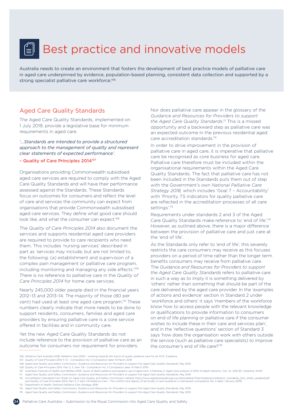# <span id="page-23-0"></span>Best practice and innovative models

Australia needs to create an environment that fosters the development of best practice models of palliative care in aged care underpinned by evidence, population-based planning, consistent data collection and supported by a strong specialist palliative care workforce.<sup>106</sup>

# Aged Care Quality Standards

The Aged Care Quality Standards, implemented on 1 July 2019, provide a legislative base for minimum requirements in aged care.

*'...Standards are intended to provide a structured approach to the management of quality and represent clear statements of expected performance'.*

– Quality of Care Principles 2014107

Organisations providing Commonwealth subsidised aged care services are required to comply with the Aged Care Quality Standards and will have their performance assessed against the Standards. These Standards focus on outcomes for consumers and reflect the level of care and services the community can expect from organisations that provide Commonwealth subsidised aged care services. They define what good care should look like, and what the consumer can expect.<sup>108</sup>

The *Quality of Care Principles 2014* also document the services and supports residential aged care providers are required to provide to care recipients who need them. This includes 'nursing services' described in part as 'services may include, but are not limited to, the following: (a) establishment and supervision of a complex pain management or palliative care program, including monitoring and managing any side effects'.<sup>109</sup> There is no reference to palliative care in the *Quality of Care Principles 2014* for home care services.

Nearly 245,000 older people died in the financial years 2012–13 and 2013–14. The majority of those (80 per cent) had used at least one aged care program.110 These numbers clearly indicate that more needs to be done to support residents, consumers, families and aged care providers by ensuring palliative care is a core service offered in facilities and in community care.

Yet the new Aged Care Quality Standards do not include reference to the provision of palliative care as an outcome for consumers nor requirement for providers.

Nor does palliative care appear in the glossary of the *Guidance and Resources for Providers to support the Aged Care Quality Standards*. 111 This is a missed opportunity and a backward step as palliative care was an expected outcome in the previous residential aged care accreditation standards.<sup>112</sup>

In order to drive improvement in the provision of palliative care in aged care, it is imperative that palliative care be recognised as core business for aged care. Palliative care therefore must be included within the organisational requirements within the Aged Care Quality Standards. The fact that palliative care has not been included in the Standards puts them out of step with the Government's own *National Palliative Care Strategy 2018,* which includes 'Goal 7 – Accountability' with 'Priority 7.5 indicators for quality palliative care are reflected in the accreditation processes of all care settings'.<sup>113</sup>

Requirements under standards 2 and 3 of the Aged Care Quality Standards make reference to 'end of life'.114 However, as outlined above, there is a major difference between the provision of palliative care and just care at the 'end of life'.

As the Standards only refer to 'end of life', this severely restricts the care consumers may receive as this focuses providers on a period of time rather than the longer term benefits consumers may receive from palliative care. The *Guidance and Resources for Providers to support the Aged Care Quality Standards* refers to palliative care in such a way as to imply it is something delivered by 'others' rather than something that should be part of the care delivered by the aged care provider. In the 'examples of actions and evidence' section in Standard 2 under 'workforce and others' it says 'members of the workforce know how to access people with the relevant knowledge or qualifications to provide information to consumers on end of life planning or palliative care if the consumer wishes to include these in their care and services plan', and in the 'reflective questions' section of Standard 3 says 'how does the organisation work with others outside the service (such as palliative care specialists) to improve the consumer's end of life care?'115

109. Quality of Care Principles 2014, Part 3, 3, item 3.8 - Compilation No. 5 Compilation date: 15 March 2019

113. Department of Health, *National Palliative Care Strategy 2018*

<sup>106.</sup> Palliative Care Australia 2018, *Palliative Care 2030 – working towards the future of quality palliative care for all*, PCA, Canberra.

<sup>107.</sup> Quality of Care Principles 2014 11 (1) - Compilation No. 5 Compilation date: 15 March 2019

<sup>108.</sup> Aged Care Quality and Safety Commission, *Guidance and Resources for Providers to support the Aged Care Quality Standards*, May 2019

<sup>110.</sup> Australian Institute of Health and Welfare 2018. *Cause of death patterns and people's use of aged care: A Pathway in Aged Care analysis of 2012–14 death statistics*. Cat. no. AGE 83. Canberra: AIHW

<sup>111.</sup> Aged Care Quality and Safety Commission, *Guidance and Resources for Providers to support the Aged Care Quality Standards*, May 2019

<sup>112.</sup> Accreditation Standards Fact Sheet on Aged Care Quality and Safety Commission website [https://www.agedcarequality.gov.au/sites/default/files/media/accreditation\\_standards\\_fact\\_sheet\\_updated.pdf](https://www.agedcarequality.gov.au/sites/default/files/media/accreditation_standards_fact_sheet_updated.pdf)<br>and Quality of Care Pri

<sup>114.</sup> Aged Care Quality and Safety Commission, *Guidance and Resources for Providers to support the Aged Care Quality Standards,* May 2019 115. Aged Care Quality and Safety Commission, *Guidance and Resources for Providers to support the Aged Care Quality Standards*, May 2019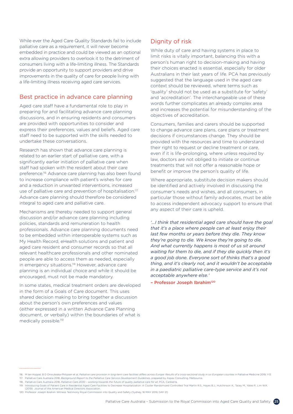<span id="page-24-0"></span>While ever the Aged Care Quality Standards fail to include palliative care as a requirement, it will never become embedded in practice and could be viewed as an optional extra allowing providers to overlook it to the detriment of consumers living with a life-limiting illness. The Standards provide an opportunity to support providers and drive improvements in the quality of care for people living with a life-limiting illness receiving aged care services.

## Best practice in advance care planning

Aged care staff have a fundamental role to play in preparing for and facilitating advance care planning discussions, and in ensuring residents and consumers are provided with opportunities to consider and express their preferences, values and beliefs. Aged care staff need to be supported with the skills needed to undertake these conversations.

Research has shown that advance care planning is related to an earlier start of palliative care, with a significantly earlier initiation of palliative care when staff had spoken with the resident about their care preference.116 Advance care planning has also been found to increase compliance with patient's wishes for care and a reduction in unwanted interventions, increased use of palliative care and prevention of hospitalisation.<sup>117</sup> Advance care planning should therefore be considered integral to aged care and palliative care.

Mechanisms are thereby needed to support general discussion and/or advance care planning including policies, standards and remuneration to health professionals. Advance care planning documents need to be embedded within interoperable systems such as My Health Record, eHealth solutions and patient and aged care resident and consumer records so that all relevant healthcare professionals and other nominated people are able to access them as needed, especially in emergency situations.<sup>118</sup> However, advance care planning is an individual choice and while it should be encouraged, must not be made mandatory.

In some states, medical treatment orders are developed in the form of a Goals of Care document. This uses shared decision making to bring together a discussion about the person's own preferences and values (either expressed in a written Advance Care Planning document, or verbally) within the boundaries of what is medically possible.<sup>119</sup>

# Dignity of risk

While duty of care and having systems in place to limit risks is vitally important, balancing this with a person's human right to decision-making and having their choices enacted is essential, especially for older Australians in their last years of life. PCA has previously suggested that the language used in the aged care context should be reviewed, where terms such as 'quality' should not be used as a substitute for 'safety' and 'accreditation'. The interchangeable use of these words further complicates an already complex area and increases the potential for misunderstanding of the objectives of accreditation.

Consumers, families and carers should be supported to change advance care plans, care plans or treatment decisions if circumstances change. They should be provided with the resources and time to understand their right to request or decline treatment or care, even if it is life-prolonging, where unless required by law, doctors are not obliged to initiate or continue treatments that will not offer a reasonable hope or benefit or improve the person's quality of life.

Where appropriate, substitute decision makers should be identified and actively involved in discussing the consumer's needs and wishes, and all consumers, in particular those without family advocates, must be able to access independent advocacy support to ensure that any aspect of their care is upheld.

*'…I think that residential aged care should have the goal that it's a place where people can at least enjoy their last few months or years before they die. They know they're going to die. We know they're going to die. And what currently happens is most of us sit around waiting for them to die, and if they die quickly then it's a good job done. Everyone sort of thinks that's a good thing, and it's clearly not, and it wouldn't be acceptable in a paediatric palliative care-type service and it's not acceptable anywhere else.'* 

– Professor Joseph Ibrahim120

(2019) Journal of the American Medical Directors Association.

<sup>116.</sup> M ten Koppel, B D Onwuteaka-Philipsen et al, Palliative care provision in long-term care facilities differs across Europe: Results of a cross-sectional study in six European counties in Palliative Medicine 2019, 1-13. 117. Palliative Care Australia 2018, *Background Report to the Palliative Care Service Development Guidelines*, prepared by Aspex Consulting, Melbourne.

<sup>118.</sup> Palliative Care Australia 2018, *Palliative Care 2030 – working towards the future of quality palliative care for all*, PCA, Canberra.

<sup>119.</sup> Introducing Goals of Patient Care in Residential Aged Care Facilities to Decrease Hospitalization: A Cluster Randomized Controlled Trial Martin R.S., Hayes B.J., Hutchinson A., Tacey M., Yates P., Lim W.K.

<sup>120.</sup> Professor Joseph Ibrahim Witness Testimony Royal Commission into Quality and Safety (Sydney, 16 MAY 2019, DAY 21)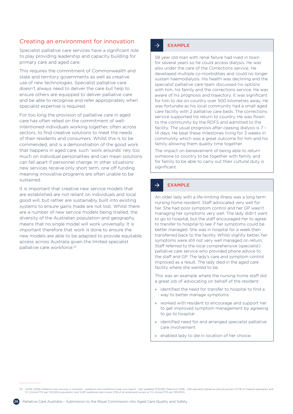# <span id="page-25-0"></span>Creating an environment for innovation

Specialist palliative care services have a significant role to play providing leadership and capacity building for primary care and aged care.

This requires the commitment of Commonwealth and state and territory governments as well as creative use of new technologies. Specialist palliative care doesn't always need to deliver the care but help to ensure others are equipped to deliver palliative care and be able to recognise and refer appropriately when specialist expertise is required.

For too long the provision of palliative care in aged care has often relied on the commitment of wellintentioned individuals working together, often across sectors, to find creative solutions to meet the needs of their residents and consumers. Whilst this is to be commended, and is a demonstration of the good work that happens in aged care, such 'work arounds' rely too much on individual personalities and can mean solutions can fall apart if personnel change. In other situations new services receive only short term, one off funding meaning innovative programs are often unable to be sustained.

It is important that creative new service models that are established are not reliant on individuals and local good will, but rather are sustainably built into existing systems to ensure gains made are not lost. Whilst there are a number of new service models being trialled, the diversity of the Australian population and geography means that no single model will work universally. It is important therefore that work is done to ensure the new models are able to be adapted to provide equitable access across Australia given the limited specialist palliative care workforce.<sup>121</sup>

#### EXAMPLE  $\rightarrow$

58 year old man with renal failure had lived in town for several years so he could access dialysis. He was also under the care of the Corrections service. He developed multiple co-morbidities and could no longer sustain haemodialysis. His health was declining and the specialist palliative care team discussed his options with him, his family and the corrections service. He was aware of his prognosis and trajectory. It was significant for him to die on country over 500 kilometres away. He was fortunate as his local community had a small aged care facility with 2 palliative care beds. The corrections service supported his return to country. He was flown to the community by the RDFS and admitted to the facility. The usual prognosis after ceasing dialysis is 7 – 14 days. He beat these milestones living for 3 weeks in community which was a great outcome for him and his family allowing them quality time together.

The impact on bereavement of being able to return someone to country to be together with family and for family to be able to carry out their cultural duty is significant.

#### $\rightarrow$ EXAMPLE

An older lady with a life-limiting illness was a long term nursing home resident. Staff advocated very well for her. She had poor symptom control and her GP wasn't managing her symptoms very well. The lady didn't want to go to hospital, but the staff encouraged her to agree to transfer to hospital to see if her symptoms could be better managed. She was in hospital for a week then transferred back to the facility. Whilst slightly better, her symptoms were still not very well managed on return. Staff referred to the local comprehensive (specialist) palliative care service who provided phone advice to the staff and GP. The lady's care and symptom control improved as a result. The lady died in the aged care facility where she wanted to be.

This was an example where the nursing home staff did a great job of advocating on behalf of the resident:

- » identified the need for transfer to hospital to find a way to better manage symptoms
- » worked with resident to encourage and support her to get improved symptom management by agreeing to go to hospital
- » identified need for and arranged specialist palliative care involvement
- enabled lady to die in location of her choice.

121. AIHW (2018) Palliative care services in Australia - palliative care workforce [web only report - last updated 17/10/18]. Data from 2016 - 226 specialist palliative care physicians (0.7% of medical specialists and<br>0.7

....................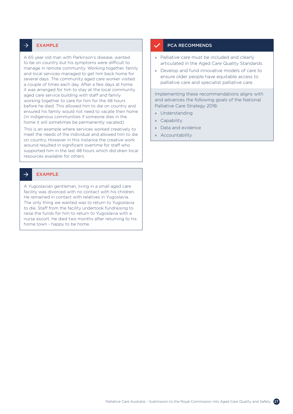#### $\rightarrow$ EXAMPLE

A 65 year old man with Parkinson's disease, wanted to be on country but his symptoms were difficult to manage in remote community. Working together, family and local services managed to get him back home for several days. The community aged care worker visited a couple of times each day. After a few days at home it was arranged for him to stay at the local community aged care service building with staff and family working together to care for him for the 48 hours before he died. This allowed him to die on country and ensured his family would not need to vacate their home (in Indigenous communities if someone dies in the home it will sometimes be permanently vacated).

This is an example where services worked creatively to meet the needs of the individual and allowed him to die on country. However in this instance the creative work around resulted in significant overtime for staff who supported him in the last 48 hours which did drain local resources available for others.

#### $\rightarrow$ EXAMPLE

A Yugoslavian gentleman, living in a small aged care facility was divorced with no contact with his children. He remained in contact with relatives in Yugoslavia. The only thing we wanted was to return to Yugoslavia to die. Staff from the facility undertook fundraising to raise the funds for him to return to Yugoslavia with a nurse escort. He died two months after returning to his home town - happy to be home.

### PCA RECOMMENDS

- » Palliative care must be included and clearly articulated in the Aged Care Quality Standards.
- » Develop and fund innovative models of care to ensure older people have equitable access to palliative care and specialist palliative care.

Implementing these recommendations aligns with and advances the following goals of the National Palliative Care Strategy 2018:

- » Understanding
- » Capability
- » Data and evidence
- » Accountability

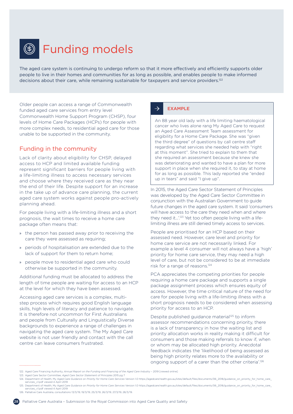<span id="page-27-0"></span>

# Funding models

The aged care system is continuing to undergo reform so that it more effectively and efficiently supports older people to live in their homes and communities for as long as possible, and enables people to make informed decisions about their care, while remaining sustainable for taxpayers and service providers.<sup>122</sup>

Older people can access a range of Commonwealth funded aged care services from entry level Commonwealth Home Support Program (CHSP), four levels of Home Care Packages (HCPs) for people with more complex needs, to residential aged care for those unable to be supported in the community.

# Funding in the community

Lack of clarity about eligibility for CHSP, delayed access to HCP and limited available funding represent significant barriers for people living with a life-limiting illness to access necessary services and choose where they received care as they near the end of their life. Despite support for an increase in the take up of advance care planning, the current aged care system works against people pro-actively planning ahead.

For people living with a life-limiting illness and a short prognosis, the wait times to receive a home care package often means that:

- » the person has passed away prior to receiving the care they were assessed as requiring:
- » periods of hospitalisation are extended due to the lack of support for them to return home;
- » people move to residential aged care who could otherwise be supported in the community.

Additional funding must be allocated to address the length of time people are waiting for access to an HCP at the level for which they have been assessed.

Accessing aged care services is a complex, multistep process which requires good English language skills, high levels of literacy and patience to navigate. It is therefore not uncommon for First Australians and people from Culturally and Linguistically Diverse backgrounds to experience a range of challenges in navigating the aged care system. The My Aged Care website is not user friendly and contact with the call centre can leave consumers frustrated.

#### $\rightarrow$ EXAMPLE

An 88 year old lady with a life limiting haematological cancer who lives alone rang My Aged Care to request an Aged Care Assessment Team assessment for eligibility for a Home Care Package. She was "given the third degree" of questions by call centre staff regarding what services she needed help with "right at this moment". She tried to explain to them that she required an assessment because she knew she was deteriorating and wanted to have a plan for more support in place when she required it, to stay at home for as long as possible. This lady reported she "ended up in tears" and said "I give up".

In 2015, the Aged Care Sector Statement of Principles was developed by the Aged Care Sector Committee in conjunction with the Australian Government to guide future changes in the aged care system. It said 'consumers will have access to the care they need when and where they need it...'.<sup>123</sup> Yet too often people living with a lifelimiting illness are still denied timely access to services.

People are prioritised for an HCP based on their assessed need. However, care level and priority for home care service are not necessarily linked. For example a level 4 consumer will not always have a 'high' priority for home care service, they may need a high level of care, but not be considered to be at immediate risk for a range of reasons.124

PCA appreciates the competing priorities for people requiring a home care package and supports a single package assignment process which ensures equity of access. However, the time critical nature of the need for care for people living with a life-limiting illness with a short prognosis needs to be considered when assessing priority for access to an HCP.

Despite published guidance material<sup>125</sup> to inform assessor recommendations concerning priority, there is a lack of transparency in how the waiting list and priority allocation works in reality making it difficult for consumers and those making referrals to know if, when or whom may be allocated high priority. Anecdotal feedback indicates the 'likelihood of being assessed as being high priority relates more to the availability or ongoing support of a carer than the other criteria'.126

123. Aged Care Sector Committee, *Aged Care Sector Statement of Principles* 2015 pg 7

<sup>122.</sup> Aged Care Financing Authority, *Annual Report on the Funding and Financing of the Aged Care Industry* – 2019 [viewed online]

<sup>124.</sup> Department of Health, My Aged Care *Guidance on Priority for Home Care Services* Version 1.0 [https://agedcare.health.gov.au/sites/default/files/documents/06\\_2018/guidance\\_on\\_priority\\_for\\_home\\_care\\_](https://agedcare.health.gov.au/sites/default/files/documents/06_2018/guidance_on_priority_for_home_care_services_v1.pdf) [services\\_v1.pdf](https://agedcare.health.gov.au/sites/default/files/documents/06_2018/guidance_on_priority_for_home_care_services_v1.pdf) viewed 4 April 2019 125. Department of Health, My Aged Care *Guidance on Priority for Home Care Services* Version 1.0 [https://agedcare.health.gov.au/sites/default/files/documents/06\\_2018/guidance\\_on\\_priority\\_for\\_home\\_care\\_](https://agedcare.health.gov.au/sites/default/files/documents/06_2018/guidance_on_priority_for_home_care_services_v1.pdf)

[services\\_v1.pdf](https://agedcare.health.gov.au/sites/default/files/documents/06_2018/guidance_on_priority_for_home_care_services_v1.pdf) viewed 4 April 2019 126. Palliative Care Australia, consultations 13/3/19, 19/3/19, 25/3/19, 26/3/19, 27/3/19, 28/3/19.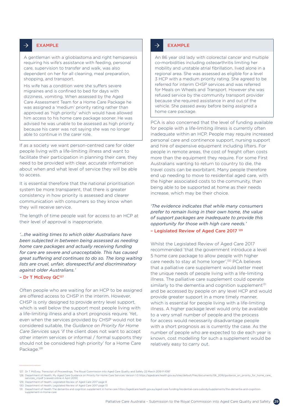#### $\rightarrow$ EXAMPLE

A gentleman with a glioblastoma and right hemiparesis requiring his wife's assistance with feeding, personal care, supervision to transfer and walk, was also dependent on her for all cleaning, meal preparation, shopping, and transport.

His wife has a condition were she suffers severe migraines and is confined to bed for days with dizziness, vomiting. When assessed by the Aged Care Assessment Team for a Home Care Package he was assigned a 'medium' priority rating rather than approved as 'high priority' which would have allowed him access to his home care package sooner. He was advised he was unable to be assessed as high priority because his carer was not saying she was no longer able to continue in the carer role.

If as a society we want person-centred care for older people living with a life-limiting illness and want to facilitate their participation in planning their care, they need to be provided with clear, accurate information about when and what level of service they will be able to access.

It is essential therefore that the national prioritisation system be more transparent, that there is greater consistency in how priority is assessed and clearer communication with consumers so they know when they will receive service.

The length of time people wait for access to an HCP at their level of approval is inappropriate.

*'…the waiting times to which older Australians have been subjected in between being assessed as needing home care packages and actually receiving funding for care are severe and unacceptable. This has caused great suffering and continues to do so. The long waiting lists are cruel, unfair, disrespectful and discriminatory against older Australians.'*

– Dr T McEvoy QC127

Often people who are waiting for an HCP to be assigned are offered access to CHSP in the interim. However, CHSP is only designed to provide entry level support, which is well below the support most people living with a life-limiting illness and a short prognosis require. Yet, even when the services provided by CHSP would not be considered suitable, the *Guidance on Priority for Home Care Services* says 'if the client does not want to accept other interim services or informal / formal supports they should not be considered high priority' for a Home Care Package.<sup>128</sup>

#### $\rightarrow$ EXAMPLE

An 86 year old lady with colorectal cancer and multiple co-morbidities including osteoarthritis limiting her mobility and unstable atrial fibrillation, lived alone in a regional area. She was assessed as eligible for a level 3 HCP with a medium priority rating. She agreed to be referred for interim CHSP services and was referred for Meals on Wheels and Transport. However she was refused service by the community transport provider because she required assistance in and out of the vehicle. She passed away before being assigned a home care package.

PCA is also concerned that the level of funding available for people with a life-limiting illness is currently often inadequate within an HCP. People may require increased personal care and continence support, nursing support and hire of expensive equipment including lifters. For people in remote areas, the cost of freight often costs more than the equipment they require. For some First Australians wanting to return to country to die, the travel costs can be exorbitant. Many people therefore end up needing to move to residential aged care, with the higher associated costs to the community, than being able to be supported at home as their needs increase, which may be their choice.

*'The evidence indicates that while many consumers prefer to remain living in their own home, the value of support packages are inadequate to provide this opportunity for those with high care needs.'*

### – Legislated Review of Aged Care 2017 129

Whilst the Legislated Review of Aged Care 2017 recommended 'that the government introduce a level 5 home care package to allow people with higher care needs to stay at home longer',130 PCA believes that a palliative care supplement would better meet the unique needs of people living with a life-limiting illness. The palliative care supplement could operate similarly to the dementia and cognition supplement<sup>131</sup> and be accessed by people on any level HCP and would provide greater support in a more timely manner, which is essential for people living with a life-limiting illness. A higher package level would only be available to a very small number of people and the process for access would necessarily disadvantage people with a short prognosis as is currently the case. As the number of people who are expected to die each year is known, cost modelling for such a supplement would be relatively easy to carry out.

<sup>127.</sup> Dr T McEvoy, Transcript of Proceedings, The Royal Commission into Aged Care Quality and Safety 22 March 2019 P-1097

\_128. Department of Health, My Aged Care Guidance on Priority for Home Care Services Version 1.0 [https://agedcare.health.gov.au/sites/default/files/documents/06\\_2018/guidance\\_on\\_priority\\_for\\_home\\_care\\_](https://agedcare.health.gov.au/sites/default/files/documents/06_2018/guidance_on_priority_for_home_care_services_v1.pdf)<br>[services\\_v1.pdf](https://agedcare.health.gov.au/sites/default/files/documents/06_2018/guidance_on_priority_for_home_care_services_v1.pdf) [vie

<sup>129.</sup> Department of Health, Legislated Review of Aged Care 2017 page 8

<sup>130.</sup> Department of Health, Legislated Review of Aged Care 2017 page 13

<sup>131.</sup> Department of Health The dementia and cognition supplement in home care [https://agedcare.health.gov.au/aged-care-funding/residential-care-subsidy/supplements/the-dementia-and-cognition](https://agedcare.health.gov.au/aged-care-funding/residential-care-subsidy/supplements/the-dementia-and-cognition-supplement-in-home-care)[supplement-in-home-care](https://agedcare.health.gov.au/aged-care-funding/residential-care-subsidy/supplements/the-dementia-and-cognition-supplement-in-home-care)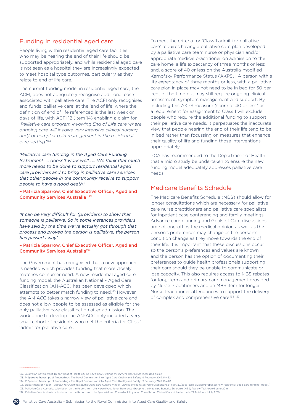# <span id="page-29-0"></span>Funding in residential aged care

People living within residential aged care facilities who may be nearing the end of their life should be supported appropriately, and while residential aged care is not seen as a hospital they are increasingly expected to meet hospital type outcomes, particularly as they relate to end of life care.

The current funding model in residential aged care, the ACFI, does not adequately recognise additional costs associated with palliative care. The ACFI only recognises and funds 'palliative care' at the 'end of life' where the definition of end of life referenced is the last week or days of life, with ACFI 12 (item 14) enabling a claim for '*Palliative care program involving End of Life care where ongoing care will involve very intensive clinical nursing and/ or complex pain management in the residential care setting*.'132

*'Palliative care funding in the Aged Care Funding Instrument …. doesn't work well.. … We think that much more needs to be done to support residential aged care providers and to bring in palliative care services that other people in the community receive to support people to have a good death.'*

– Patricia Sparrow, Chief Executive Officer, Aged and Community Services Australia 133

*'It can be very difficult for (providers) to show that someone is palliative. So in some instances providers have said by the time we've actually got through that process and proved the person is palliative, the person has passed away'.* 

– Patricia Sparrow, Chief Executive Officer, Aged and Community Services Australia134

The Government has recognised that a new approach is needed which provides funding that more closely matches consumer need. A new residential aged care funding model, the Australian National – Aged Care Classification (AN-ACC) has been developed which attempts to better match funding to need.<sup>135</sup> However, the AN-ACC takes a narrow view of palliative care and does not allow people to be assessed as eligible for the only palliative care classification after admission. The work done to develop the AN-ACC only included a very small cohort of residents who met the criteria for Class 1 'admit for palliative care'.

To meet the criteria for 'Class 1 admit for palliative care' requires having a palliative care plan developed by a palliative care team nurse or physician and/or appropriate medical practitioner on admission to the care home; a life expectancy of three months or less; and, a score of 40 or less on the Australia-modified Karnofsky Performance Status (AKPS)'. A person with a life expectancy of three months or less, with a palliative care plan in place may not need to be in bed for 50 per cent of the time but may still require ongoing clinical assessment, symptom management and support. By including this AKPS measure (score of 40 or less) as a requirement for assignment to Class 1 will exclude people who require the additional funding to support their palliative care needs. It perpetuates the inaccurate view that people nearing the end of their life tend to be in bed rather than focussing on measures that enhance their quality of life and funding those interventions appropriately.

PCA has recommended to the Department of Health that a micro study be undertaken to ensure the new funding model adequately addresses palliative care needs.

# Medicare Benefits Schedule

The Medicare Benefits Schedule (MBS) should allow for longer consultations which are necessary for palliative care nurse practitioners and palliative care specialists for inpatient case conferencing and family meetings. Advance care planning and Goals of Care discussions are not one-off as the medical opinion as well as the person's preferences may change as the person's condition change as they move towards the end of their life. It is important that these discussions occur so the person's preferences and values are known and the person has the option of documenting their preferences to guide health professionals supporting their care should they be unable to communicate or lose capacity. This also requires access to MBS rebates for long-term and primary care management provided by Nurse Practitioners and an MBS item for longer Nurse Practitioner attendances to support the delivery of complex and comprehensive care.<sup>136 137</sup>

137. Palliative Care Australia, submission on the Report from the Specialist and Consultant Physician Consultation Clinical Committee to the MBS Taskforce 1 July 2019



<sup>132.</sup> Australian Government, Department of Health (2016) *Aged Care Funding Instrument User Guide* [accessed online]

<sup>133.</sup> P Sparrow, Transcript of Proceedings, The Royal Commission into Aged Care Quality and Safety, 19 February 2019, P-432

<sup>134.</sup> P Sparrow, Transcript of Proceedings, The Royal Commission into Aged Care Quality and Safety, 19 February 2019, P-440

<sup>135.</sup> Department of Health, *Proposal for a new residential aged care funding model,* [viewed online <https://consultations.health.gov.au/aged-care-division/proposed-new-residential-aged-care-funding-model/>]

<sup>136.</sup> Palliative Care Australia, submission on the Report from the Nurse Practitioner Reference Group to the Medicare Benefits Schedule (MBS) Review Taskforce 6 June 2019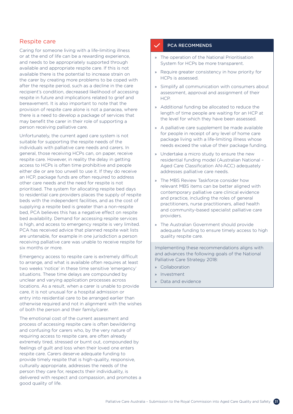## <span id="page-30-0"></span>Respite care

Caring for someone living with a life-limiting illness or at the end of life can be a rewarding experience, and needs to be appropriately supported through available and appropriate respite care. If this is not available there is the potential to increase strain on the carer by creating more problems to be coped with after the respite period, such as a decline in the care recipient's condition, decreased likelihood of accessing respite in future and implications related to grief and bereavement. It is also important to note that the provision of respite care alone is not a panacea, where there is a need to develop a package of services that may benefit the carer in their role of supporting a person receiving palliative care.

Unfortunately, the current aged care system is not suitable for supporting the respite needs of the individuals with palliative care needs and carers. In general, those receiving HCPs can, on paper, receive respite care. However, in reality the delay in getting access to HCPs is often time prohibitive and people either die or are too unwell to use it. If they do receive an HCP, package funds are often required to address other care needs and the need for respite is not prioritised. The system for allocating respite bed days to residential care providers places the supply of respite beds with the independent facilities, and as the cost of supplying a respite bed is greater than a non-respite bed, PCA believes this has a negative effect on respite bed availability. Demand for accessing respite services is high, and access to emergency respite is very limited. PCA has received advice that planned respite wait lists are untenable, for example in one jurisdiction a person receiving palliative care was unable to receive respite for six months or more.

Emergency access to respite care is extremely difficult to arrange, and what is available often requires at least two weeks 'notice' in these time sensitive 'emergency' situations. These time delays are compounded by unclear and varying application processes across locations. As a result, when a carer is unable to provide care, it is not unusual for a hospital admission or entry into residential care to be arranged earlier than otherwise required and not in alignment with the wishes of both the person and their family/carer.

The emotional cost of the current assessment and process of accessing respite care is often bewildering and confusing for carers who, by the very nature of requiring access to respite care, are often already extremely tired, stressed or burnt out, compounded by feelings of guilt and loss when their loved one enters respite care. Carers deserve adequate funding to provide timely respite that is high-quality, responsive, culturally appropriate, addresses the needs of the person they care for, respects their individuality, is delivered with respect and compassion, and promotes a good quality of life.

### PCA RECOMMENDS

- » The operation of the National Prioritisation System for HCPs be more transparent.
- » Require greater consistency in how priority for HCPs is assessed.
- » Simplify all communication with consumers about assessment, approval and assignment of their HCP.
- » Additional funding be allocated to reduce the length of time people are waiting for an HCP at the level for which they have been assessed.
- » A palliative care supplement be made available for people in receipt of any level of home care package living with a life-limiting illness whose needs exceed the value of their package funding.
- » Undertake a micro study to ensure the new residential funding model (Australian National – Aged Care Classification AN-ACC) adequately addresses palliative care needs.
- » The MBS Review Taskforce consider how relevant MBS items can be better aligned with contemporary palliative care clinical evidence and practice, including the roles of general practitioners, nurse practitioners, allied health and community-based specialist palliative care providers.
- » The Australian Government should provide adequate funding to ensure timely access to high quality respite care.

Implementing these recommendations aligns with and advances the following goals of the National Palliative Care Strategy 2018:

- » Collaboration
- » Investment
- Data and evidence

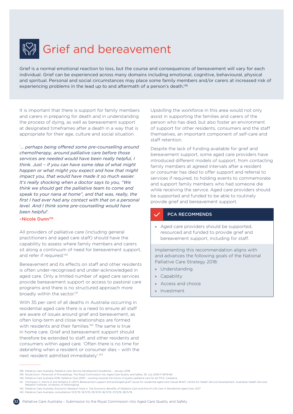<span id="page-31-0"></span>

# Grief and bereavement

Grief is a normal emotional reaction to loss, but the course and consequences of bereavement will vary for each individual. Grief can be experienced across many domains including emotional, cognitive, behavioural, physical and spiritual. Personal and social circumstances may place some family members and/or carers at increased risk of experiencing problems in the lead up to and aftermath of a person's death.<sup>138</sup>

It is important that there is support for family members and carers in preparing for death and in understanding the process of dying, as well as bereavement support at designated timeframes after a death in a way that is appropriate for their age, culture and social situation.

'*… perhaps being offered some pre-counselling around chemotherapy, around palliative care before those services are needed would have been really helpful, I think. Just – if you can have some idea of what might happen or what might you expect and how that might impact you, that would have made it so much easier. It's really shocking when a doctor says to you, "We think we should get the palliative team to come and speak to your nana at home", and that was, really, the first I had ever had any contact with that on a personal level. And I think some pre-counselling would have been helpful'.*

#### –Nicole Dunn139

All providers of palliative care (including general practitioners and aged care staff) should have the capability to assess where family members and carers sit along a continuum of need for bereavement support, and refer if required.<sup>140</sup>

Bereavement and its effects on staff and other residents is often under-recognised and under-acknowledged in aged care. Only a limited number of aged care services provide bereavement support or access to pastoral care programs and there is no structured approach more broadly within the sector.<sup>141</sup>

With 35 per cent of all deaths in Australia occurring in residential aged care there is a need to ensure all staff are aware of issues around grief and bereavement, as often long-term and close relationships are formed with residents and their families.<sup>142</sup> The same is true in home care. Grief and bereavement support should therefore be extended to staff, and other residents and consumers within aged care. 'Often there is no time for debriefing when a resident or consumer dies – with the next resident admitted immediately'.143

Upskilling the workforce in this area would not only assist in supporting the families and carers of the person who has died, but also foster an environment of support for other residents, consumers and the staff themselves, an important component of self-care and staff retention.

Despite the lack of funding available for grief and bereavement support, some aged care providers have introduced different models of support, from contacting family members at agreed intervals after a resident or consumer has died to offer support and referral to services if required, to holding events to commemorate and support family members who had someone die while receiving the service. Aged care providers should be supported and funded to be able to routinely provide grief and bereavement support.

## PCA RECOMMENDS

» Aged care providers should be supported, resourced and funded to provide grief and bereavement support, including for staff.

Implementing this recommendation aligns with and advances the following goals of the National Palliative Care Strategy 2018:

- » Understanding
- » Capability
- » Access and choice
- » Investment

- 142. Palliative Care Australia, Economic Research Note 4, *The Economic Benefits of Palliative Care and End-of-Life Care in Residential Aged Care,* 2017
- 143. Palliative Care Australia, consultations 13/3/19, 19/3/19, 25/3/19, 26/3/19, 27/3/19, 28/3/19.

<sup>138.</sup> Palliative Care Australia, *Palliative Care Service Development Guidelines* – January 2018

<sup>139.</sup> Nicole Dunn, Transcript of Proceedings, The Royal Commission into Aged Care Quality and Safety 30 July 2019 P-3979-80

<sup>140.</sup> Palliative Care Australia 2018, *Palliative Care 2030 – working towards the future of quality palliative care for all*, PCA, Canberra.

<sup>141.</sup> Thompson C, Morris D and Williams K (2017) Bereavement support and prolonged grief: Issues for residential aged care (Issues Brief). Centre for Health Service Development, Australian Health Services<br>Research Institute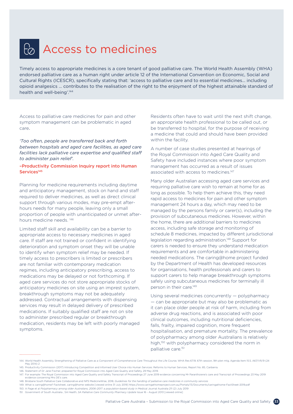# <span id="page-32-0"></span>Access to medicines

Timely access to appropriate medicines is a core tenant of good palliative care. The World Health Assembly (WHA) endorsed palliative care as a human right under article 12 of the International Convention on Economic, Social and Cultural Rights (ICESCR), specifically stating that: 'access to palliative care and to essential medicines… including opioid analgesics … contributes to the realisation of the right to the enjoyment of the highest attainable standard of health and well-being'.144

Access to palliative care medicines for pain and other symptom management can be problematic in aged care.

*'Too often, people are transferred back and forth between hospitals and aged care facilities, as aged care facilities lack palliative care expertise and qualified staff to administer pain relief'.*

### –Productivity Commission Inquiry report into Human Services<sup>145</sup>

Planning for medicine requirements including daytime and anticipatory management, stock on hand and staff required to deliver medicines, as well as direct clinical support through various modes, may pre-empt afterhours needs for many people, leaving only a small proportion of people with unanticipated or unmet afterhours medicine needs. 146

Limited staff skill and availability can be a barrier to appropriate access to necessary medicines in aged care. If staff are not trained or confident in identifying deterioration and symptom onset they will be unable to identify when symptom relief may be needed. If timely access to prescribers is limited or prescribers are not familiar with contemporary medication regimes, including anticipatory prescribing, access to medications may be delayed or not forthcoming. If aged care services do not store appropriate stocks of anticipatory medicines on site using an imprest system, breakthrough symptoms may not be adequately addressed. Contractual arrangements with dispensing services may result in delayed delivery of prescribed medications. If suitably qualified staff are not on site to administer prescribed regular or breakthrough medication, residents may be left with poorly managed symptoms.

Residents often have to wait until the next shift change, an appropriate health professional to be called out, or be transferred to hospital, for the purpose of receiving a medicine that could and should have been provided within the facility.

A number of case studies presented at hearings of the Royal Commission into Aged Care Quality and Safety have included instances where poor symptom management has occurred as a result of issues associated with access to medicines.<sup>147</sup>

Many older Australian accessing aged care services and requiring palliative care wish to remain at home for as long as possible. To help them achieve this, they need rapid access to medicines for pain and other symptom management 24 hours a day, which may need to be managed by the persons family or carer(s), including the provision of subcutaneous medicines. However, within the home, there are additional barriers to medicines access, including safe storage and monitoring of schedule 8 medicines, impacted by different jurisdictional legislation regarding administration.148 Support for carers is needed to ensure they understand medication requirements and are comfortable in administering needed medications. The caring@home project funded by the Department of Health has developed resources for organisations, health professionals and carers to support carers to help manage breakthrough symptoms safely using subcutaneous medicines for terminally ill person in their care.<sup>149</sup>

Using several medicines concurrently — polypharmacy — can be appropriate but may also be problematic as it can place older people at risk of harm, including from adverse drug reactions, and is associated with poor clinical outcomes, including nutritional deficiencies, falls, frailty, impaired cognition, more frequent hospitalisation, and premature mortality. The prevalence of polypharmacy among older Australians is relatively high,<sup>150</sup> with polypharmacy considered the norm in palliative care.151

145. Productivity Commission (2017) Introducing Competition and Informed User Choice into Human Services: Reforms to Human Services, Report No. 85, Canberra.

149. What is caring@home? Factsheet, caring@home website [viewed online 31 July 2019]<https://www.caringathomeproject.com.au/Portals/13/Documents/caringathome-FactSheet-2019.pdf>

<sup>144.</sup> World Health Assembly, Strengthening of Palliative Care as a Component of Comprehensive Care Throughout the Life Course, WHA Res 6719, 67th session, 9th plen mtg, Agenda Item 15.5, A67/VR/9 (24 May 2014) 2

<sup>146.</sup> Statement of Dr Jane Fischer, prepared for Royal Commission into Aged Care Quality and Safety, 29 May 2019.

<sup>147.</sup> For example: The Royal Commission into Aged Care Quality and Safety Transcript of Proceedings 27 June 2019 evidence concerning Mr Paranthoiene's care and Transcript of Proceedings 23 May 2019 evidence concerning Mrs DE's care.

<sup>148.</sup> Brisbane South Palliative Care Collaborative and NPS MedicineWise, 2018, *Guidelines for the handling of palliative care medicines in community services*

<sup>150.</sup> A Page et al *Polypharmacy among older Australians, 2006–2017: a population-based study* in Medical Journal Australia 211 (2) July 2019 151. Government of South Australia , SA Health, *SA Palliative Care Community Pharmacy Update* Issue 16 - August 2013 [viewed online]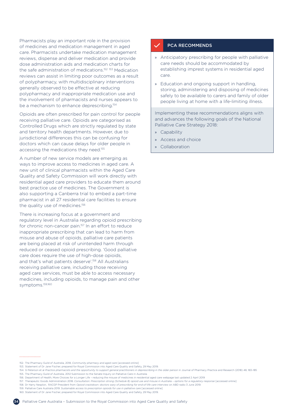Pharmacists play an important role in the provision of medicines and medication management in aged care. Pharmacists undertake medication management reviews, dispense and deliver medication and provide dose administration aids and medication charts for the safe administration of medications.152 153 Medication reviews can assist in limiting poor outcomes as a result of polypharmacy, with multidisciplinary interventions generally observed to be effective at reducing polypharmacy and inappropriate medication use and the involvement of pharmacists and nurses appears to be a mechanism to enhance deprescribing.<sup>154</sup>

Opioids are often prescribed for pain control for people receiving palliative care. Opioids are categorised as Controlled Drugs which are strictly regulated by state and territory health departments. However, due to jurisdictional differences this can be confusing for doctors which can cause delays for older people in accessing the medications they need.<sup>155</sup>

A number of new service models are emerging as ways to improve access to medicines in aged care. A new unit of clinical pharmacists within the Aged Care Quality and Safety Commission will work directly with residential aged care providers to educate them around best practice use of medicines. The Government is also supporting a Canberra trial to embed a part-time pharmacist in all 27 residential care facilities to ensure the quality use of medicines.<sup>156</sup>

There is increasing focus at a government and regulatory level in Australia regarding opioid prescribing for chronic non-cancer pain.<sup>157</sup> In an effort to reduce inappropriate prescribing that can lead to harm from misuse and abuse of opioids, palliative care patients are being placed at risk of unintended harm through reduced or ceased opioid prescribing. 'Good palliative care does require the use of high-dose opioids, and that's what patients deserve'.<sup>158</sup> All Australians receiving palliative care, including those receiving aged care services, must be able to access necessary medicines, including opioids, to manage pain and other symptoms.159,160

### PCA RECOMMENDS

- » Anticipatory prescribing for people with palliative care needs should be accommodated by establishing imprest systems in residential aged care.
- » Education and ongoing support in handling, storing, administering and disposing of medicines safely to be available to carers and family of older people living at home with a life-limiting illness.

Implementing these recommendations aligns with and advances the following goals of the National Palliative Care Strategy 2018:

- **Capability**
- » Access and choice
- » Collaboration

....................

- 158. Dr Harry Nesplon, RACGP President from *Opioid crackdown: doctors wary of prescribing for end-of-life care* interview on ABD radio 3 June 2019.
	- 159. Palliative Care Australia 2019. *Sustainable access to prescription opioids for use in palliative care* [accessed online] 160. Statement of Dr Jane Fischer, prepared for Royal Commission into Aged Care Quality and Safety, 29 May 2019.
	-

<sup>152.</sup> The Pharmacy Guild of Australia, 2018, *Community pharmacy and aged care* [accessed online]

<sup>153.</sup> Statement of Dr Jane Fischer, prepared for Royal Commission into Aged Care Quality and Safety, 29 May 2019.

<sup>154.</sup> G Peterson et al *Practice pharmacists and the opportunity to support general practitioners in deprescribing in the older person* in Journal of Pharmacy Practice and Research (2018) 48, 183–185

<sup>155.</sup> The Pharmacy Guild of Australia, 2012 Submission to the Senate Inquiry on Palliative Care in Australia

<sup>156.</sup> Department of Health, More Choices for a Longer Life – reducing the misuse of medicines in residential aged care webpage last updated 2 April 2019 157. Therapeutic Goods Administration 2018. *Consultation: Prescription strong (Schedule 8) opioid use and misuse in Australia – options for a regulatory response* [accessed online]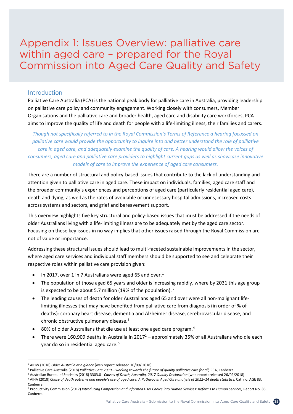<span id="page-34-0"></span>Appendix 1: Issues Overview: palliative care within aged care - prepared for the Royal Commission into Aged Care Quality and Safety **palliativecare.org.au**

# Introduction

Palliative Care Australia (PCA) is the national peak body for palliative care in Australia, providing leadership on palliative care policy and community engagement. Working closely with consumers, Member Organisations and the palliative care and broader health, aged care and disability care workforces, PCA aims to improve the quality of life and death for people with a life-limiting illness, their families and carers.

*Though not specifically referred to in the Royal Commission's Terms of Reference a hearing focussed on palliative care would provide the opportunity to inquire into and better understand the role of palliative care in aged care, and adequately examine the quality of care. A hearing would allow the voices of consumers, aged care and palliative care providers to highlight current gaps as well as showcase innovative models of care to improve the experience of aged care consumers.*

There are a number of structural and policy-based issues that contribute to the lack of understanding and attention given to palliative care in aged care. These impact on individuals, families, aged care staff and the broader community's experiences and perceptions of aged care (particularly residential aged care), death and dying, as well as the rates of avoidable or unnecessary hospital admissions, increased costs across systems and sectors, and grief and bereavement support.

This overview highlights five key structural and policy-based issues that must be addressed if the needs of older Australians living with a life-limiting illness are to be adequately met by the aged care sector. Focusing on these key issues in no way implies that other issues raised through the Royal Commission are not of value or importance.

Addressing these structural issues should lead to multi-faceted sustainable improvements in the sector, where aged care services and individual staff members should be supported to see and celebrate their respective roles within palliative care provision given:

- In 2017, over 1 in 7 Australians were aged 65 and over.<sup>1</sup>
- The population of those aged 65 years and older is increasing rapidly, where by 2031 this age group is expected to be about 5.7 million (19% of the population). <sup>2</sup>
- The leading causes of death for older Australians aged 65 and over were all non-malignant lifelimiting illnesses that may have benefited from palliative care from diagnosis (in order of % of deaths): coronary heart disease, dementia and Alzheimer disease, cerebrovascular disease, and chronic obstructive pulmonary disease.3
- 80% of older Australians that die use at least one aged care program.<sup>4</sup>
- There were 160,909 deaths in Australia in  $2017^2$  approximately 35% of all Australians who die each year do so in residential aged care.<sup>5</sup>

<u>.</u>

<sup>1</sup> AIHW (2018) *Older Australia at a glance* [web report: released 10/09/ 2018]

<sup>&</sup>lt;sup>2</sup> Palliative Care Australia (2018) Palliative Care 2030 – working towards the future of quality palliative care for all, PCA, Canberra.

<sup>3</sup> Australian Bureau of Statistics (2018) 3303.0 - *Causes of Death, Australia, 2017 Quality Declaration* [web report: released 26/09/2018]

<sup>4</sup> AIHA (2018) Cause of death patterns and people's use of aged care: A Pathway in Aged Care analysis of 2012-14 death statistics. Cat. no. AGE 83. Canberra

<sup>&</sup>lt;sup>5</sup> Productivity Commission (2017) Introducing Competition and Informed User Choice into Human Services: Reforms to Human Services, Report No. 85, Canberra.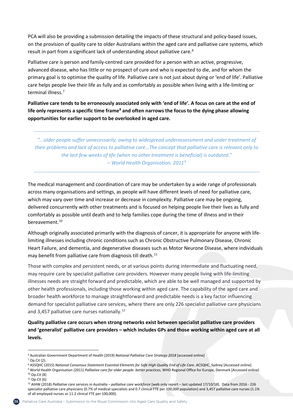PCA will also be providing a submission detailing the impacts of these structural and policy-based issues, on the provision of quality care to older Australians within the aged care and palliative care systems, which result in part from a significant lack of understanding about palliative care.<sup>6</sup>

Palliative care is person and family-centred care provided for a person with an active, progressive, advanced disease, who has little or no prospect of cure and who is expected to die, and for whom the primary goal is to optimise the quality of life. Palliative care is not just about dying or 'end of life'. Palliative care helps people live their life as fully and as comfortably as possible when living with a life-limiting or terminal illness.<sup>7</sup>

**Palliative care tends to be erroneously associated only with 'end of life'. A focus on care at the end of life only represents a specific time frame8 and often narrows the focus to the dying phase allowing opportunities for earlier support to be overlooked in aged care.** 

*"...older people suffer unnecessarily, owing to widespread underassessment and under treatment of their problems and lack of access to palliative care…The concept that palliative care is relevant only to the last few weeks of life (when no other treatment is beneficial) is outdated." – World Health Organisation, 20119*

The medical management and coordination of care may be undertaken by a wide range of professionals across many organisations and settings, as people will have different levels of need for palliative care, which may vary over time and increase or decrease in complexity. Palliative care may be ongoing, delivered concurrently with other treatments and is focused on helping people live their lives as fully and comfortably as possible until death and to help families cope during the time of illness and in their bereavement.<sup>10</sup>

Although originally associated primarily with the diagnosis of cancer, it is appropriate for anyone with lifelimiting illnesses including chronic conditions such as Chronic Obstructive Pulmonary Disease, Chronic Heart Failure, and dementia, and degenerative diseases such as Motor Neurone Disease, where individuals may benefit from palliative care from diagnosis till death.<sup>11</sup>

Those with complex and persistent needs, or at various points during intermediate and fluctuating need, may require care by specialist palliative care providers. However many people living with life-limiting illnesses needs are straight forward and predictable, which are able to be well managed and supported by other health professionals, including those working within aged care. The capability of the aged care and broader health workforce to manage straightforward and predictable needs is a key factor influencing demand for specialist palliative care services, where there are only 226 specialist palliative care physicians and 3,457 palliative care nurses nationally.<sup>12</sup>

**Quality palliative care occurs when strong networks exist between specialist palliative care providers and 'generalist' palliative care providers – which includes GPs and those working within aged care at all levels.**

<u>.</u>

<sup>6</sup> Australian Government Department of Health (2019) *National Palliative Care Strategy 2018* [accessed online]

<sup>7</sup> Op.Cit (2).

<sup>&</sup>lt;sup>8</sup> ASSQHC (2015) National Consensus Statement Essential Elements for Safe High Quality End of Life Care. ACSQHC, Sydney [Accessed online]

<sup>9</sup> World Health Organisation (2011) *Palliative care for older people: better practices*, WHO Regional Office for Europe, Denmark [Accessed online] <sup>10</sup> Op.Cit (8)

 $11$  Op.Cit (6)

<sup>12</sup> AIHW (2018) *Palliative care services in Australia – palliative care workforce* [web only report – last updated 17/10/18]. Data from 2016 - 226 specialist palliative care physicians (0.7% of medical specialists and 0.7 clinical FTE per 100,000 population) and 3,457 palliative care nurses (1.1% of all employed nurses or 11.2 clinical FTE per 100,000).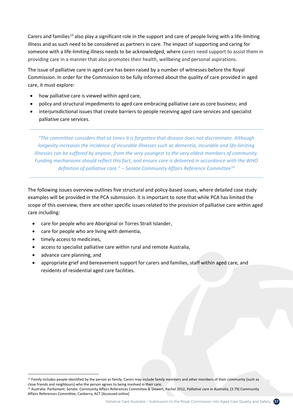Carers and families<sup>13</sup> also play a significant role in the support and care of people living with a life-limiting illness and as such need to be considered as partners in care. The impact of supporting and caring for someone with a life-limiting illness needs to be acknowledged, where carers need support to assist them in providing care in a manner that also promotes their health, wellbeing and personal aspirations.

The issue of palliative care in aged care has been raised by a number of witnesses before the Royal Commission. In order for the Commission to be fully informed about the quality of care provided in aged care, it must explore:

- how palliative care is viewed within aged care,
- policy and structural impediments to aged care embracing palliative care as core business; and
- interjurisdictional issues that create barriers to people receiving aged care services and specialist palliative care services.

*"The committee considers that at times it is forgotten that disease does not discriminate. Although longevity increases the incidence of incurable illnesses such as dementia, incurable and life-limiting illnesses can be suffered by anyone, from the very youngest to the very oldest members of community. Funding mechanisms should reflect this fact, and ensure care is delivered in accordance with the WHO definition of palliative care." – Senate Community Affairs Reference Committee14*

The following issues overview outlines five structural and policy-based issues, where detailed case study examples will be provided in the PCA submission. It is important to note that while PCA has limited the scope of this overview, there are other specific issues related to the provision of palliative care within aged care including:

- care for people who are Aboriginal or Torres Strait Islander,
- care for people who are living with dementia,
- timely access to medicines,
- access to specialist palliative care within rural and remote Australia,
- advance care planning, and

<u>.</u>

• appropriate grief and bereavement support for carers and families, staff within aged care, and residents of residential aged care facilities.

<sup>&</sup>lt;sup>13</sup> Family includes people identified by the person as family. Carers may include family members and other members of their community (such as close friends and neighbours) who the person agrees to being involved in their care.

<sup>14</sup> Australia. Parliament. Senate. Community Affairs References Committee & Siewert, Rachel 2012, *Palliative care in Australia*, (3.79) Community Affairs References Committee, Canberra, ACT [Accessed online]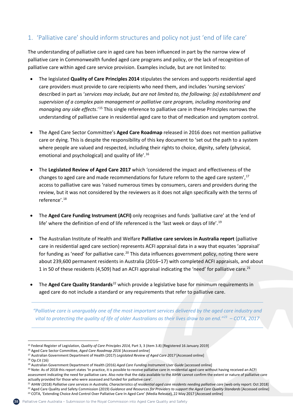# 1. 'Palliative care' should inform structures and policy not just 'end of life care'

The understanding of palliative care in aged care has been influenced in part by the narrow view of palliative care in Commonwealth funded aged care programs and policy, or the lack of recognition of palliative care within aged care service provision. Examples include, but are not limited to:

- The legislated **Quality of Care Principles 2014** stipulates the services and supports residential aged care providers must provide to care recipients who need them, and includes 'nursing services' described in part as '*services may include, but are not limited to, the following: (a) establishment and supervision of a complex pain management or palliative care program, including monitoring and managing any side effects*.'15 This single reference to palliative care in these Principles narrows the understanding of palliative care in residential aged care to that of medication and symptom control.
- The Aged Care Sector Committee's **Aged Care Roadmap** released in 2016 does not mention palliative care or dying. This is despite the responsibility of this key document to 'set out the path to a system where people are valued and respected, including their rights to choice, dignity, safety (physical, emotional and psychological) and quality of life'.16
- The **Legislated Review of Aged Care 2017** which 'considered the impact and effectiveness of the changes to aged care and made recommendations for future reform to the aged care system', $17$ access to palliative care was 'raised numerous times by consumers, carers and providers during the review, but it was not considered by the reviewers as it does not align specifically with the terms of reference'.18
- The **Aged Care Funding Instrument (ACFI)** only recognises and funds *'*palliative care' at the 'end of life' where the definition of end of life referenced is the 'last week or days of life'.<sup>19</sup>
- The Australian Institute of Health and Welfare **Palliative care services in Australia report** (palliative care in residential aged care section) represents ACFI appraisal data in a way that equates 'appraisal' for funding as 'need' for palliative care.<sup>20</sup> This data influences government policy, noting there were about 239,600 permanent residents in Australia (2016–17) with completed ACFI appraisals, and about 1 in 50 of these residents (4,509) had an ACFI appraisal indicating the 'need' for palliative care.<sup>21</sup>
- The **Aged Care Quality Standards**<sup>22</sup> which provide a legislative base for minimum requirements in aged care do not include a standard or any requirements that refer to palliative care.

*"Palliative care is unarguably one of the most important services delivered by the aged care industry and vital to protecting the quality of life of older Australians as their lives draw to an end."23 – COTA, 2017*

<sup>18</sup> Op.Cit (16)

<u>.</u>

- <sup>20</sup> Note: As of 2018 this report states 'In practice, it is possible to receive palliative care in residential aged care without having received an ACFI assessment indicating the need for palliative care. Also note that the data available to the AIHW cannot confirm the extent or nature of palliative care actually provided for those who were assessed and funded for palliative care'.
- <sup>21</sup> AIHW (2018) Palliative care services in Australia, Characteristics of residential aged care residents needing palliative care [web only report: Oct 2018] <sup>22</sup> Aged Care Quality and Safety Commission (2019) Guidance and Resources for Providers to support the Aged Care Quality Standards [Accessed online] <sup>23</sup> COTA, 'Extending Choice And Control Over Palliative Care In Aged Care' (Media Release), 22 May 2017 [Accessed online]
- 

<sup>15</sup> Federal Register of Legislation, *Quality of Care Principles 2014,* Part 3, 3 (item 3.8) [Registered 16 January 2019]

<sup>16</sup> Aged Care Sector Committee, *Aged Care Roadmap 2016* [Accessed online]

<sup>17</sup> Australian Government Department of Health (2017) *Legislated Review of Aged Care 2017* [Accessed online]

<sup>19</sup> Australian Government Department of Health (2016) *Aged Care Funding Instrument User Guide* [accessed online]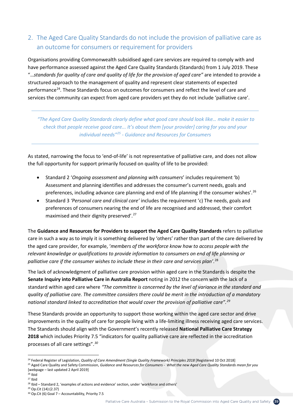# 2. The Aged Care Quality Standards do not include the provision of palliative care as an outcome for consumers or requirement for providers

Organisations providing Commonwealth subsidised aged care services are required to comply with and have performance assessed against the Aged Care Quality Standards (Standards) from 1 July 2019. These "…*standards for quality of care and quality of life for the provision of aged care"* are intended to provide a structured approach to the management of quality and represent clear statements of expected performance<sup>24</sup>. These Standards focus on outcomes for consumers and reflect the level of care and services the community can expect from aged care providers yet they do not include 'palliative care'.

*"The Aged Care Quality Standards clearly define what good care should look like… make it easier to check that people receive good care... It's about them [your provider] caring for you and your individual needs"25 - Guidance and Resources for Consumers* 

As stated, narrowing the focus to 'end-of-life' is not representative of palliative care, and does not allow the full opportunity for support primarily focused on quality of life to be provided:

- Standard 2 '*Ongoing assessment and planning with consumers*' includes requirement 'b) Assessment and planning identifies and addresses the consumer's current needs, goals and preferences, including advance care planning and end of life planning if the consumer wishes'.<sup>26</sup>
- Standard 3 *'Personal care and clinical care'* includes the requirement 'c) The needs, goals and preferences of consumers nearing the end of life are recognised and addressed, their comfort maximised and their dignity preserved'.<sup>27</sup>

The **Guidance and Resources for Providers to support the Aged Care Quality Standards** refers to palliative care in such a way as to imply it is something delivered by 'others' rather than part of the care delivered by the aged care provider, for example, '*members of the workforce know how to access people with the relevant knowledge or qualifications to provide information to consumers on end of life planning or palliative care if the consumer wishes to include these in their care and services plan'*. 28

The lack of acknowledgment of palliative care provision within aged care in the Standards is despite the **Senate Inquiry into Palliative Care in Australia Report** noting in 2012 the concern with the lack of a standard within aged care where *"The committee is concerned by the level of variance in the standard and quality of palliative care. The committee considers there could be merit in the introduction of a mandatory national standard linked to accreditation that would cover the provision of palliative care". 29*

These Standards provide an opportunity to support those working within the aged care sector and drive improvements in the quality of care for people living with a life-limiting illness receiving aged care services. The Standards should align with the Government's recently released **National Palliative Care Strategy 2018** which includes Priority 7.5 "indicators for quality palliative care are reflected in the accreditation processes of all care settings".*<sup>30</sup>*

 $\overline{a}$ 

<sup>24</sup> Federal Register of Legislation, *Quality of Care Amendment (Single Quality Framework) Principles 2018* [Registered 10 Oct 2018]

<sup>&</sup>lt;sup>25</sup> Aged Care Quality and Safety Commission, Guidance and Resources for Consumers - What the new Aged Care Quality Standards mean for you [webpage – last updated 2 April 2019]

 $26$  Ibid

<sup>27</sup> Ibid

<sup>&</sup>lt;sup>28</sup> Ibid – Standard 2, 'examples of actions and evidence' section, under 'workforce and others'

<sup>29</sup> Op.Cit (14):(2.37)

 $30$  Op.Cit (6) Goal 7 – Accountability, Priority 7.5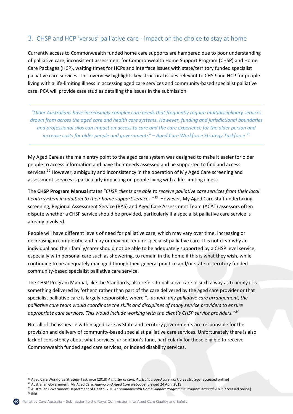# 3. CHSP and HCP 'versus' palliative care - impact on the choice to stay at home

Currently access to Commonwealth funded home care supports are hampered due to poor understanding of palliative care, inconsistent assessment for Commonwealth Home Support Program (CHSP) and Home Care Packages (HCP), waiting times for HCPs and interface issues with state/territory funded specialist palliative care services. This overview highlights key structural issues relevant to CHSP and HCP for people living with a life-limiting illness in accessing aged care services and community-based specialist palliative care. PCA will provide case studies detailing the issues in the submission.

*"Older Australians have increasingly complex care needs that frequently require multidisciplinary services drawn from across the aged care and health care systems. However, funding and jurisdictional boundaries and professional silos can impact on access to care and the care experience for the older person and increase costs for older people and governments" – Aged Care Workforce Strategy Taskforce 31*

My Aged Care as the main entry point to the aged care system was designed to make it easier for older people to access information and have their needs assessed and be supported to find and access services.<sup>32</sup> However, ambiguity and inconsistency in the operation of My Aged Care screening and assessment services is particularly impacting on people living with a life-limiting illness.

The **CHSP Program Manual** states "*CHSP clients are able to receive palliative care services from their local health system in addition to their home support services."*33 However, My Aged Care staff undertaking screening, Regional Assessment Service (RAS) and Aged Care Assessment Team (ACAT) assessors often dispute whether a CHSP service should be provided, particularly if a specialist palliative care service is already involved.

People will have different levels of need for palliative care, which may vary over time, increasing or decreasing in complexity, and may or may not require specialist palliative care. It is not clear why an individual and their family/carer should not be able to be adequately supported by a CHSP level service, especially with personal care such as showering, to remain in the home if this is what they wish, while continuing to be adequately managed though their general practice and/or state or territory funded community-based specialist palliative care service.

The CHSP Program Manual, like the Standards, also refers to palliative care in such a way as to imply it is something delivered by 'others' rather than part of the care delivered by the aged care provider or that specialist palliative care is largely responsible, where "…*as with any palliative care arrangement, the palliative care team would coordinate the skills and disciplines of many service providers to ensure appropriate care services. This would include working with the client's CHSP service providers."34*

Not all of the issues lie within aged care as State and territory governments are responsible for the provision and delivery of community-based specialist palliative care services. Unfortunately there is also lack of consistency about what services jurisdiction's fund, particularly for those eligible to receive Commonwealth funded aged care services, or indeed disability services.

<u>.</u>

<sup>31</sup> Aged Care Workforce Strategy Taskforce (2018) *A matter of care: Australia's aged care workforce strategy* [accessed online]

<sup>32</sup> Australian Government, My Aged Care, *Ageing and Aged Care webpage* [viewed 24 April 2019]

<sup>33</sup> Australian Government Department of Health (2018) *Commonwealth Home Support Programme Program Manual 2018* [accessed online] <sup>34</sup> Ibid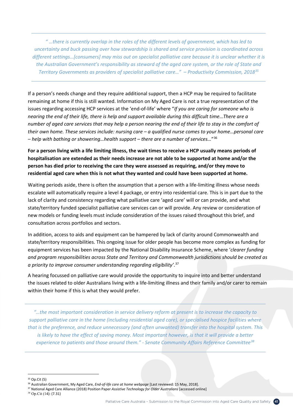*" …there is currently overlap in the roles of the different levels of government, which has led to uncertainty and buck passing over how stewardship is shared and service provision is coordinated across different settings…[consumers] may miss out on specialist palliative care because it is unclear whether it is the Australian Government's responsibility as steward of the aged care system, or the role of State and Territory Governments as providers of specialist palliative care…" – Productivity Commission, 201835*

If a person's needs change and they require additional support, then a HCP may be required to facilitate remaining at home if this is still wanted. Information on My Aged Care is not a true representation of the issues regarding accessing HCP services at the 'end-of-life' where "*If you are caring for someone who is nearing the end of their life, there is help and support available during this difficult time…There are a number of aged care services that may help a person nearing the end of their life to stay in the comfort of their own home. These services include: nursing care – a qualified nurse comes to your home…personal care – help with bathing or showering…health support – there are a number of services…*"36

**For a person living with a life limiting illness, the wait times to receive a HCP usually means periods of hospitalisation are extended as their needs increase are not able to be supported at home and/or the person has died prior to receiving the care they were assessed as requiring, and/or they move to residential aged care when this is not what they wanted and could have been supported at home.** 

Waiting periods aside, there is often the assumption that a person with a life-limiting illness whose needs escalate will automatically require a level 4 package, or entry into residential care. This is in part due to the lack of clarity and consistency regarding what palliative care 'aged care' will or can provide, and what state/territory funded specialist palliative care services can or will provide. Any review or consideration of new models or funding levels must include consideration of the issues raised throughout this brief, and consultation across portfolios and sectors.

In addition, access to aids and equipment can be hampered by lack of clarity around Commonwealth and state/territory responsibilities. This ongoing issue for older people has become more complex as funding for equipment services has been impacted by the National Disability Insurance Scheme, where '*clearer funding and program responsibilities across State and Territory and Commonwealth jurisdictions should be created as a priority to improve consumer understanding regarding eligibility'*. 37

A hearing focussed on palliative care would provide the opportunity to inquire into and better understand the issues related to older Australians living with a life-limiting illness and their family and/or carer to remain within their home if this is what they would prefer.

*"…the most important consideration in service delivery reform at present is to increase the capacity to support palliative care in the home (including residential aged care), or specialised hospice facilities where that is the preference, and reduce unnecessary (and often unwanted) transfer into the hospital system. This*  is likely to have the effect of saving money. Most important however, is that it will provide a better *experience to patients and those around them." - Senate Community Affairs Reference Committee38*

 $\overline{a}$ 

- <sup>37</sup> National Aged Care Alliance (2018) Position Paper *Assistive Technology for Older Australians* [accessed online]
- <sup>38</sup> Op.Cit (14): (7.31)

<sup>35</sup> Op.Cit (5)

<sup>36</sup> Australian Government, My Aged Care, *End-of-life care at home webpage* [Last reviewed: 15 May, 2018].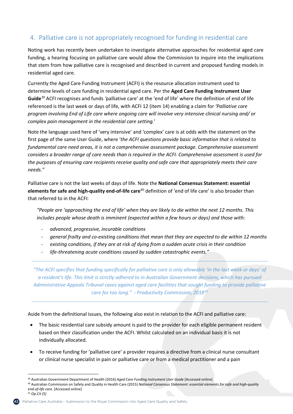# 4. Palliative care is not appropriately recognised for funding in residential care

Noting work has recently been undertaken to investigate alternative approaches for residential aged care funding, a hearing focusing on palliative care would allow the Commission to inquire into the implications that stem from how palliative care is recognised and described in current and proposed funding models in residential aged care.

Currently the Aged Care Funding Instrument (ACFI) is the resource allocation instrument used to determine levels of care funding in residential aged care. Per the **Aged Care Funding Instrument User Guide**<sup>39</sup> ACFI recognises and funds *'*palliative care' at the 'end of life' where the definition of end of life referenced is the last week or days of life, with ACFI 12 (item 14) enabling a claim for *'Palliative care program involving End of Life care where ongoing care will involve very intensive clinical nursing and/ or complex pain management in the residential care setting.*'

Note the language used here of 'very intensive' and 'complex' care is at odds with the statement on the first page of the same User Guide, where '*the ACFI questions provide basic information that is related to fundamental care need areas, it is not a comprehensive assessment package. Comprehensive assessment considers a broader range of care needs than is required in the ACFI. Comprehensive assessment is used for the purposes of ensuring care recipients receive quality and safe care that appropriately meets their care needs."*

Palliative care is not the last weeks of days of life. Note the **National Consensus Statement: essential elements for safe and high-quality end-of-life care**<sup>40</sup> definition of 'end of life care' is also broader than that referred to in the ACFI:

*"People are 'approaching the end of life' when they are likely to die within the next 12 months. This includes people whose death is imminent (expected within a few hours or days) and those with:*

- *advanced, progressive, incurable conditions*
- *general frailty and co-existing conditions that mean that they are expected to die within 12 months*
- *existing conditions, if they are at risk of dying from a sudden acute crisis in their condition*
- *life-threatening acute conditions caused by sudden catastrophic events."*

*"The ACFI specifies that funding specifically for palliative care is only allowable 'in the last week or days' of a resident's life. This limit is strictly adhered to in Australian Government decisions, which has pursued Administrative Appeals Tribunal cases against aged care facilities that sought funding to provide palliative care for too long." - Productivity Commission, 201841*

Aside from the definitional issues, the following also exist in relation to the ACFI and palliative care:

- The basic residential care subsidy amount is paid to the provider for each eligible permanent resident based on their classification under the ACFI. Whilst calculated on an individual basis it is not individually allocated.
- To receive funding for 'palliative care' a provider requires a directive from a clinical nurse consultant or clinical nurse specialist in pain or palliative care or from a medical practitioner and a pain



<sup>&</sup>lt;u>.</u> <sup>39</sup> Australian Government Department of Health (2016) *Aged Care Funding Instrument User Guide* [Accessed online]

<sup>40</sup> Australian Commission on Safety and Quality in Health Care (2015) *National Consensus Statement: essential elements for safe and high-quality end-of-life care.* [Accessed online] <sup>41</sup> *Op.Cit (5)*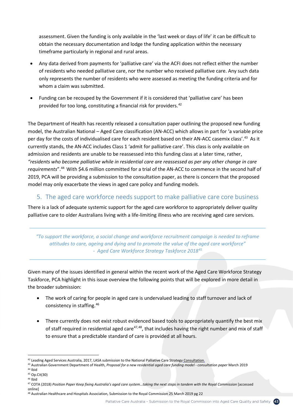assessment. Given the funding is only available in the 'last week or days of life' it can be difficult to obtain the necessary documentation and lodge the funding application within the necessary timeframe particularly in regional and rural areas.

- Any data derived from payments for 'palliative care' via the ACFI does not reflect either the number of residents who needed palliative care, nor the number who received palliative care. Any such data only represents the number of residents who were assessed as meeting the funding criteria and for whom a claim was submitted.
- Funding can be recouped by the Government if it is considered that 'palliative care' has been provided for too long, constituting a financial risk for providers.<sup>42</sup>

The Department of Health has recently released a consultation paper outlining the proposed new funding model, the Australian National – Aged Care classification (AN-ACC) which allows in part for 'a variable price per day for the costs of individualised care for each resident based on their AN-ACC casemix class'.43 As it currently stands, the AN-ACC includes Class 1 'admit for palliative care'. This class is only available on admission and residents are unable to be reassessed into this funding class at a later time, rather, *"residents who become palliative while in residential care are reassessed as per any other change in care requirements*".44 With \$4.6 million committed for a trial of the AN-ACC to commence in the second half of 2019, PCA will be providing a submission to the consultation paper, as there is concern that the proposed model may only exacerbate the views in aged care policy and funding models.

# 5. The aged care workforce needs support to make palliative care core business

There is a lack of adequate systemic support for the aged care workforce to appropriately deliver quality palliative care to older Australians living with a life-limiting illness who are receiving aged care services.

*"To support the workforce, a social change and workforce recruitment campaign is needed to reframe attitudes to care, ageing and dying and to promote the value of the aged care workforce" - Aged Care Workforce Strategy Taskforce 201845*

Given many of the issues identified in general within the recent work of the Aged Care Workforce Strategy Taskforce, PCA highlight in this issue overview the following points that will be explored in more detail in the broader submission:

- The work of caring for people in aged care is undervalued leading to staff turnover and lack of consistency in staffing.46
- There currently does not exist robust evidenced based tools to appropriately quantify the best mix of staff required in residential aged care<sup>47,48</sup>, that includes having the right number and mix of staff to ensure that a predictable standard of care is provided at all hours.

 $\overline{a}$ 

<sup>&</sup>lt;sup>42</sup> Leading Aged Services Australia, 2017, LASA submission to the National Palliative Care Strategy Consultation.

<sup>43</sup> Australian Government Department of Health, *Proposal for a new residential aged care funding model - consultation paper* March 2019

<sup>44</sup> Ibid

<sup>45</sup> Op.Cit(30)

<sup>46</sup> Ibid

<sup>&</sup>lt;sup>47</sup> COTA (2018) Position Paper Keep fixing Australia's aged care system...taking the next steps in tandem with the Royal Commission [accessed online]

<sup>48</sup> Australian Healthcare and Hospitals Association, Submission to the Royal Commission 25 March 2019 pg 22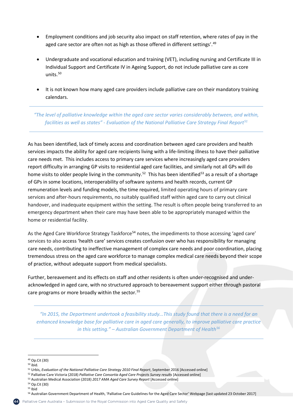- Employment conditions and job security also impact on staff retention, where rates of pay in the aged care sector are often not as high as those offered in different settings'.<sup>49</sup>
- Undergraduate and vocational education and training (VET), including nursing and Certificate III in Individual Support and Certificate IV in Ageing Support, do not include palliative care as core units. $50$
- It is not known how many aged care providers include palliative care on their mandatory training calendars.

*"The level of palliative knowledge within the aged care sector varies considerably between, and within, facilities as well as states" - Evaluation of the National Palliative Care Strategy Final Report51*

As has been identified, lack of timely access and coordination between aged care providers and health services impacts the ability for aged care recipients living with a life-limiting illness to have their palliative care needs met. This includes access to primary care services where increasingly aged care providers report difficulty in arranging GP visits to residential aged care facilities, and similarly not all GPs will do home visits to older people living in the community.<sup>52</sup> This has been identified<sup>53</sup> as a result of a shortage of GPs in some locations, interoperability of software systems and health records, current GP remuneration levels and funding models, the time required, limited operating hours of primary care services and after-hours requirements, no suitably qualified staff within aged care to carry out clinical handover, and inadequate equipment within the setting. The result is often people being transferred to an emergency department when their care may have been able to be appropriately managed within the home or residential facility.

As the Aged Care Workforce Strategy Taskforce<sup>54</sup> notes, the impediments to those accessing 'aged care' services to also access 'health care' services creates confusion over who has responsibility for managing care needs, contributing to ineffective management of complex care needs and poor coordination, placing tremendous stress on the aged care workforce to manage complex medical care needs beyond their scope of practice, without adequate support from medical specialists.

Further, bereavement and its effects on staff and other residents is often under-recognised and underacknowledged in aged care, with no structured approach to bereavement support either through pastoral care programs or more broadly within the sector.<sup>55</sup>

*"In 2015, the Department undertook a feasibility study...This study found that there is a need for an enhanced knowledge base for palliative care in aged care generally, to improve palliative care practice in this setting." – Australian Government Department of Health56*

<u>.</u>

<sup>49</sup> Op.Cit (30)

<sup>50</sup> ibid.

<sup>51</sup> Urbis, *Evaluation of the National Palliative Care Strategy 2010 Final Report*, September 2016 [Accessed online]

<sup>52</sup> Palliative Care Victoria (2018) *Palliative Care Consortia Aged Care Projects Survey results* [Accessed online]

<sup>53</sup> Australian Medical Association (2018) *2017 AMA Aged Care Survey Report* [Accessed online]

<sup>54</sup> Op.Cit (30)

<sup>55</sup> Ibid

<sup>56</sup> Australian Government Department of Health, 'Palliative Care Guidelines for the Aged Care Sector' Webpage [last updated 23 October 2017]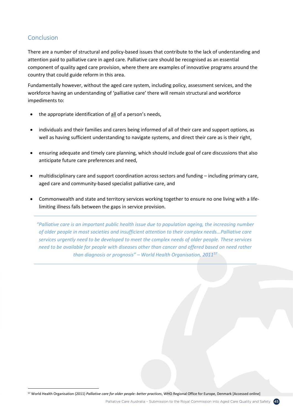# Conclusion

 $\overline{a}$ 

There are a number of structural and policy-based issues that contribute to the lack of understanding and attention paid to palliative care in aged care. Palliative care should be recognised as an essential component of quality aged care provision, where there are examples of innovative programs around the country that could guide reform in this area.

Fundamentally however, without the aged care system, including policy, assessment services, and the workforce having an understanding of 'palliative care' there will remain structural and workforce impediments to:

- the appropriate identification of all of a person's needs,
- individuals and their families and carers being informed of all of their care and support options, as well as having sufficient understanding to navigate systems, and direct their care as is their right,
- ensuring adequate and timely care planning, which should include goal of care discussions that also anticipate future care preferences and need,
- multidisciplinary care and support coordination across sectors and funding including primary care, aged care and community-based specialist palliative care, and
- Commonwealth and state and territory services working together to ensure no one living with a lifelimiting illness falls between the gaps in service provision.

*"Palliative care is an important public health issue due to population ageing, the increasing number of older people in most societies and insufficient attention to their complex needs...Palliative care services urgently need to be developed to meet the complex needs of older people. These services need to be available for people with diseases other than cancer and offered based on need rather than diagnosis or prognosis" – World Health Organisation, 201157*

<sup>57</sup> World Health Organisation (2011) *Palliative care for older people: better practices*, WHO Regional Office for Europe, Denmark [Accessed online]